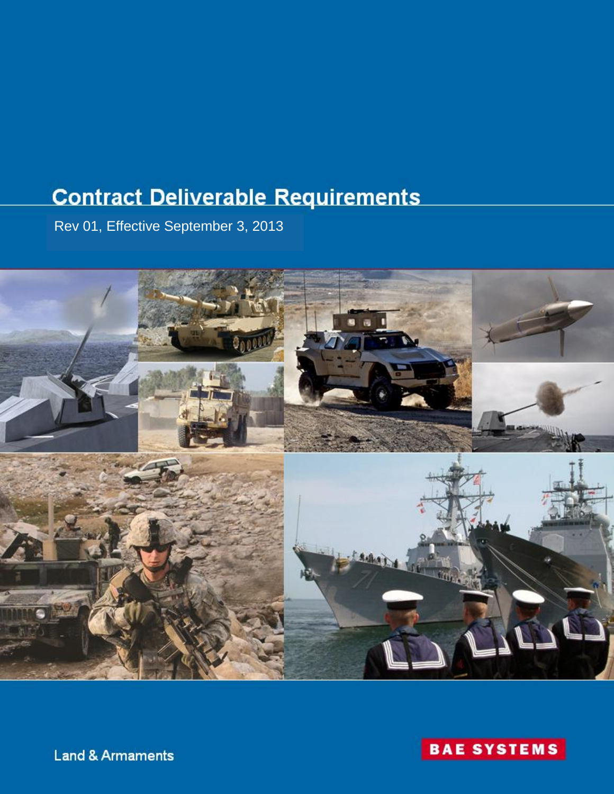# **Contract Deliverable Requirements**

Rev 01, Effective September 3, 2013



**Land & Armaments** 

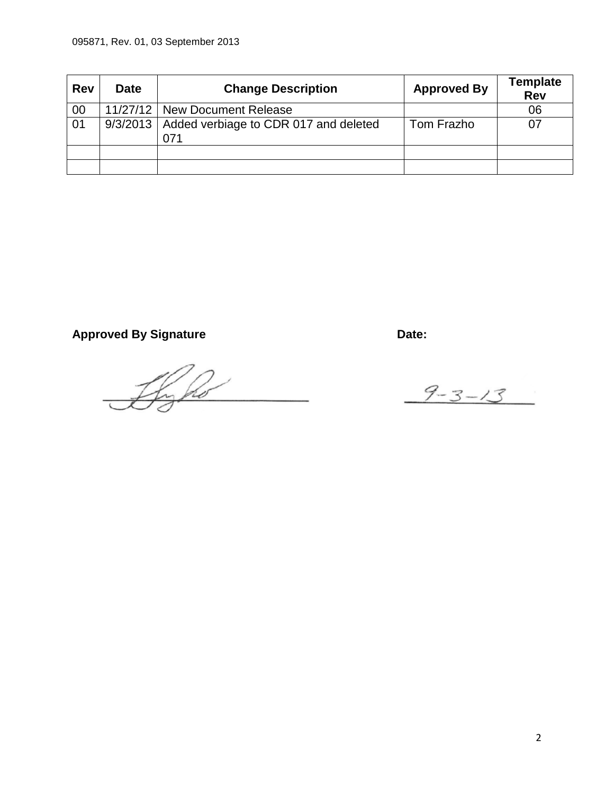| <b>Rev</b> | <b>Date</b> | <b>Change Description</b>                               | <b>Approved By</b> | <b>Template</b><br>Rev |
|------------|-------------|---------------------------------------------------------|--------------------|------------------------|
| 00         |             | 11/27/12   New Document Release                         |                    | 06                     |
| 01         |             | 9/3/2013   Added verbiage to CDR 017 and deleted<br>071 | Tom Frazho         |                        |
|            |             |                                                         |                    |                        |
|            |             |                                                         |                    |                        |

Approved By Signature **Date:** Date:

Byho

 $9 - 3 - 13$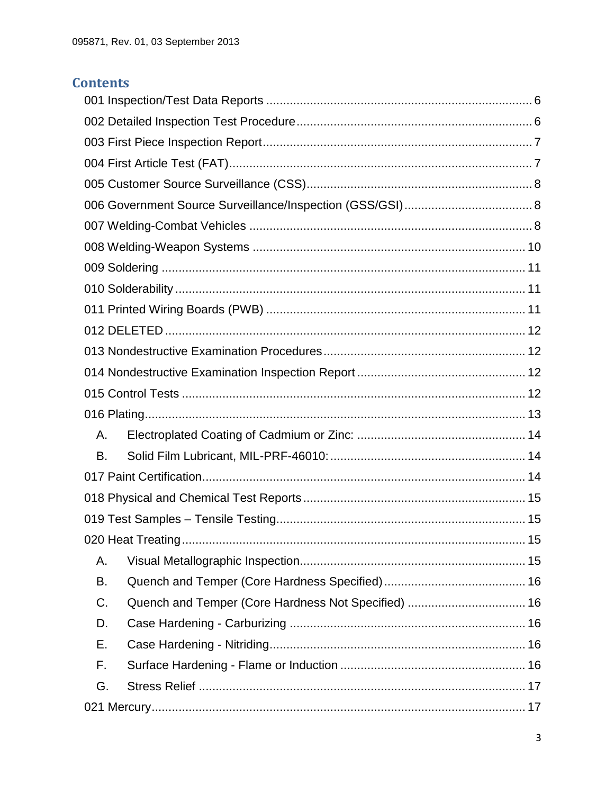# **Contents**

| Α.                                                        |  |  |
|-----------------------------------------------------------|--|--|
| В.                                                        |  |  |
|                                                           |  |  |
|                                                           |  |  |
|                                                           |  |  |
| . 15                                                      |  |  |
| Α.                                                        |  |  |
| В.                                                        |  |  |
| Quench and Temper (Core Hardness Not Specified)  16<br>C. |  |  |
| D.                                                        |  |  |
| Е.                                                        |  |  |
| F.                                                        |  |  |
| G.                                                        |  |  |
|                                                           |  |  |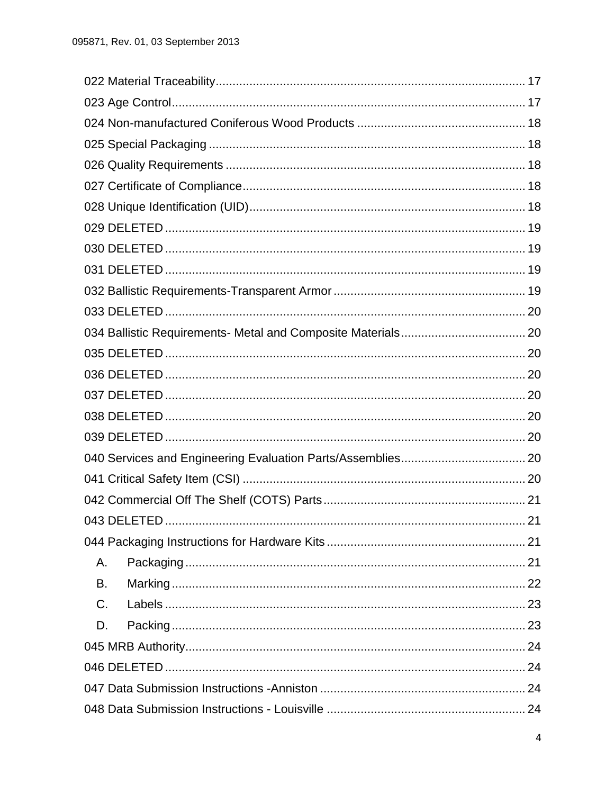|             | 21 |
|-------------|----|
|             |    |
| Α.          |    |
| В.          |    |
| $C_{\cdot}$ |    |
| D.          |    |
|             |    |
|             |    |
|             |    |
|             |    |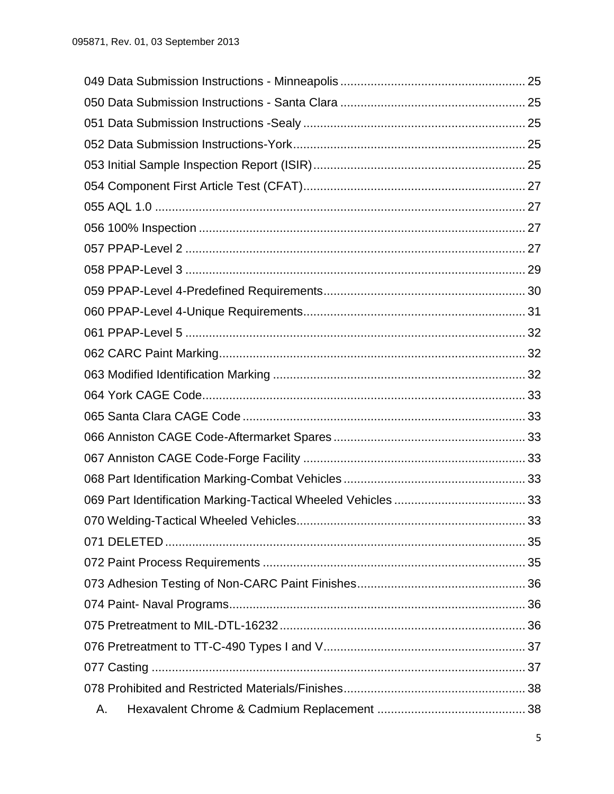|    | 33 |
|----|----|
|    |    |
|    |    |
|    |    |
|    |    |
|    |    |
|    |    |
|    |    |
|    |    |
| Α. |    |
|    |    |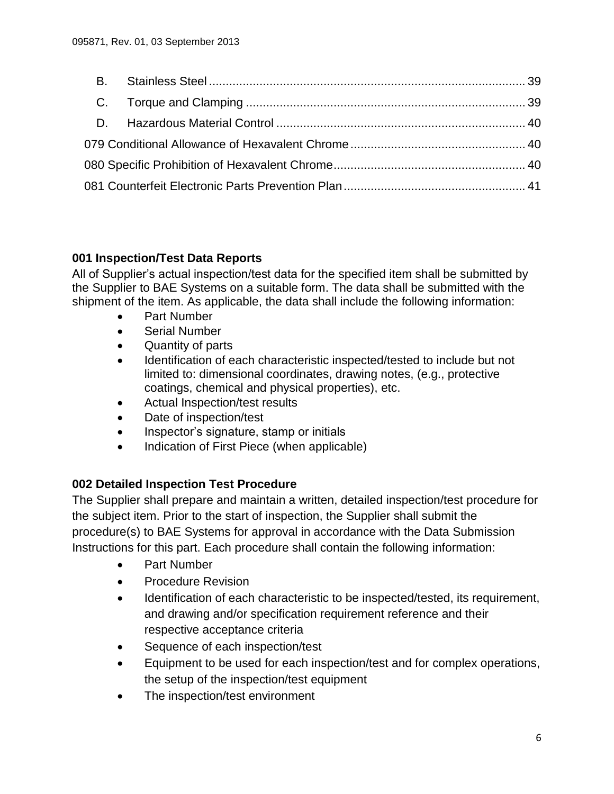### <span id="page-5-0"></span>**001 Inspection/Test Data Reports**

All of Supplier's actual inspection/test data for the specified item shall be submitted by the Supplier to BAE Systems on a suitable form. The data shall be submitted with the shipment of the item. As applicable, the data shall include the following information:

- Part Number
- Serial Number
- Quantity of parts
- Identification of each characteristic inspected/tested to include but not limited to: dimensional coordinates, drawing notes, (e.g., protective coatings, chemical and physical properties), etc.
- Actual Inspection/test results
- Date of inspection/test
- Inspector's signature, stamp or initials
- Indication of First Piece (when applicable)

### <span id="page-5-1"></span>**002 Detailed Inspection Test Procedure**

The Supplier shall prepare and maintain a written, detailed inspection/test procedure for the subject item. Prior to the start of inspection, the Supplier shall submit the procedure(s) to BAE Systems for approval in accordance with the Data Submission Instructions for this part. Each procedure shall contain the following information:

- Part Number
- Procedure Revision
- Identification of each characteristic to be inspected/tested, its requirement, and drawing and/or specification requirement reference and their respective acceptance criteria
- Sequence of each inspection/test
- Equipment to be used for each inspection/test and for complex operations, the setup of the inspection/test equipment
- The inspection/test environment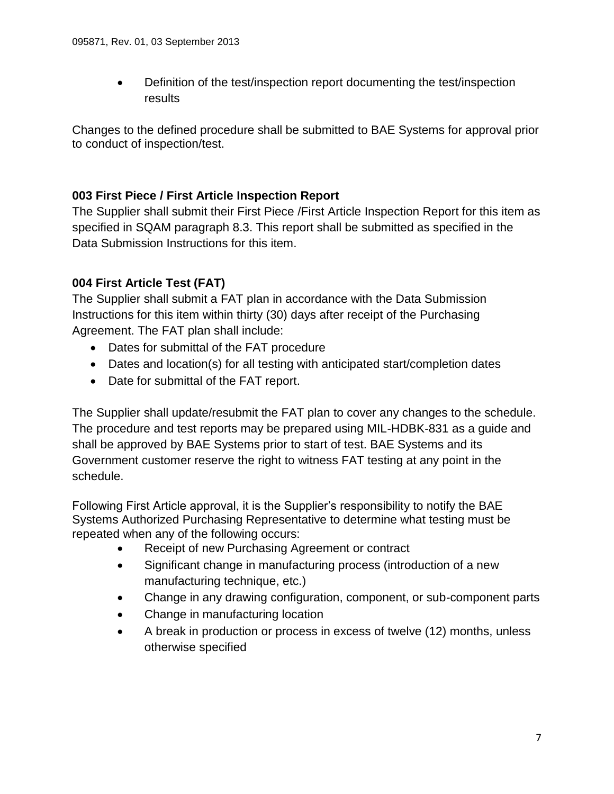Definition of the test/inspection report documenting the test/inspection results

Changes to the defined procedure shall be submitted to BAE Systems for approval prior to conduct of inspection/test.

### <span id="page-6-0"></span>**003 First Piece / First Article Inspection Report**

The Supplier shall submit their First Piece /First Article Inspection Report for this item as specified in SQAM paragraph 8.3. This report shall be submitted as specified in the Data Submission Instructions for this item.

# <span id="page-6-1"></span>**004 First Article Test (FAT)**

The Supplier shall submit a FAT plan in accordance with the Data Submission Instructions for this item within thirty (30) days after receipt of the Purchasing Agreement. The FAT plan shall include:

- Dates for submittal of the FAT procedure
- Dates and location(s) for all testing with anticipated start/completion dates
- Date for submittal of the FAT report.

The Supplier shall update/resubmit the FAT plan to cover any changes to the schedule. The procedure and test reports may be prepared using MIL-HDBK-831 as a guide and shall be approved by BAE Systems prior to start of test. BAE Systems and its Government customer reserve the right to witness FAT testing at any point in the schedule.

Following First Article approval, it is the Supplier's responsibility to notify the BAE Systems Authorized Purchasing Representative to determine what testing must be repeated when any of the following occurs:

- Receipt of new Purchasing Agreement or contract
- Significant change in manufacturing process (introduction of a new manufacturing technique, etc.)
- Change in any drawing configuration, component, or sub-component parts
- Change in manufacturing location
- <span id="page-6-2"></span> A break in production or process in excess of twelve (12) months, unless otherwise specified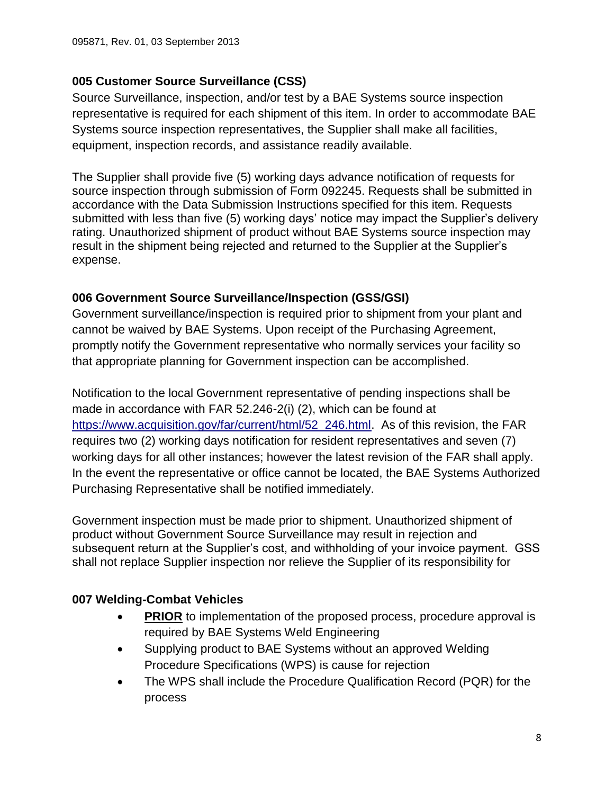### **005 Customer Source Surveillance (CSS)**

Source Surveillance, inspection, and/or test by a BAE Systems source inspection representative is required for each shipment of this item. In order to accommodate BAE Systems source inspection representatives, the Supplier shall make all facilities, equipment, inspection records, and assistance readily available.

The Supplier shall provide five (5) working days advance notification of requests for source inspection through submission of Form 092245. Requests shall be submitted in accordance with the Data Submission Instructions specified for this item. Requests submitted with less than five (5) working days' notice may impact the Supplier's delivery rating. Unauthorized shipment of product without BAE Systems source inspection may result in the shipment being rejected and returned to the Supplier at the Supplier's expense.

### <span id="page-7-0"></span>**006 Government Source Surveillance/Inspection (GSS/GSI)**

Government surveillance/inspection is required prior to shipment from your plant and cannot be waived by BAE Systems. Upon receipt of the Purchasing Agreement, promptly notify the Government representative who normally services your facility so that appropriate planning for Government inspection can be accomplished.

Notification to the local Government representative of pending inspections shall be made in accordance with FAR 52.246-2(i) (2), which can be found at [https://www.acquisition.gov/far/current/html/52\\_246.html.](https://www.acquisition.gov/far/current/html/52_246.html) As of this revision, the FAR requires two (2) working days notification for resident representatives and seven (7) working days for all other instances; however the latest revision of the FAR shall apply. In the event the representative or office cannot be located, the BAE Systems Authorized Purchasing Representative shall be notified immediately.

Government inspection must be made prior to shipment. Unauthorized shipment of product without Government Source Surveillance may result in rejection and subsequent return at the Supplier's cost, and withholding of your invoice payment. GSS shall not replace Supplier inspection nor relieve the Supplier of its responsibility for

# <span id="page-7-1"></span>**007 Welding-Combat Vehicles**

- **PRIOR** to implementation of the proposed process, procedure approval is required by BAE Systems Weld Engineering
- Supplying product to BAE Systems without an approved Welding Procedure Specifications (WPS) is cause for rejection
- The WPS shall include the Procedure Qualification Record (PQR) for the process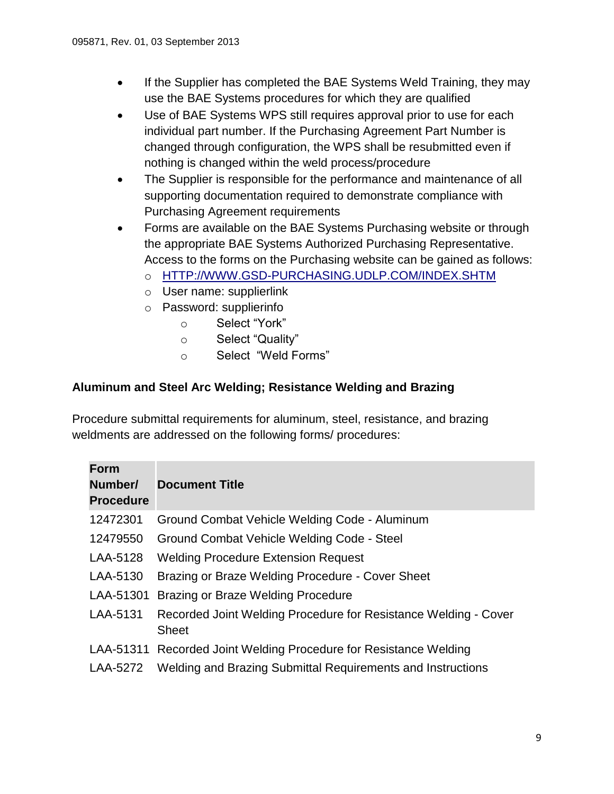- If the Supplier has completed the BAE Systems Weld Training, they may use the BAE Systems procedures for which they are qualified
- Use of BAE Systems WPS still requires approval prior to use for each individual part number. If the Purchasing Agreement Part Number is changed through configuration, the WPS shall be resubmitted even if nothing is changed within the weld process/procedure
- The Supplier is responsible for the performance and maintenance of all supporting documentation required to demonstrate compliance with Purchasing Agreement requirements
- Forms are available on the BAE Systems Purchasing website or through the appropriate BAE Systems Authorized Purchasing Representative. Access to the forms on the Purchasing website can be gained as follows:
	- o [HTTP://WWW.GSD-PURCHASING.UDLP.COM/INDEX.SHTM](http://www.gsd-purchasing.udlp.com/INDEX.SHTM)
	- o User name: supplierlink
	- o Password: supplierinfo
		- o Select "York"
		- o Select "Quality"
		- o Select "Weld Forms"

### **Aluminum and Steel Arc Welding; Resistance Welding and Brazing**

Procedure submittal requirements for aluminum, steel, resistance, and brazing weldments are addressed on the following forms/ procedures:

| <b>Form</b><br>Number/<br><b>Procedure</b> | <b>Document Title</b>                                                           |
|--------------------------------------------|---------------------------------------------------------------------------------|
| 12472301                                   | Ground Combat Vehicle Welding Code - Aluminum                                   |
| 12479550                                   | Ground Combat Vehicle Welding Code - Steel                                      |
| LAA-5128                                   | <b>Welding Procedure Extension Request</b>                                      |
| LAA-5130                                   | Brazing or Braze Welding Procedure - Cover Sheet                                |
| LAA-51301                                  | Brazing or Braze Welding Procedure                                              |
| LAA-5131                                   | Recorded Joint Welding Procedure for Resistance Welding - Cover<br><b>Sheet</b> |
|                                            | LAA-51311 Recorded Joint Welding Procedure for Resistance Welding               |
| LAA-5272                                   | Welding and Brazing Submittal Requirements and Instructions                     |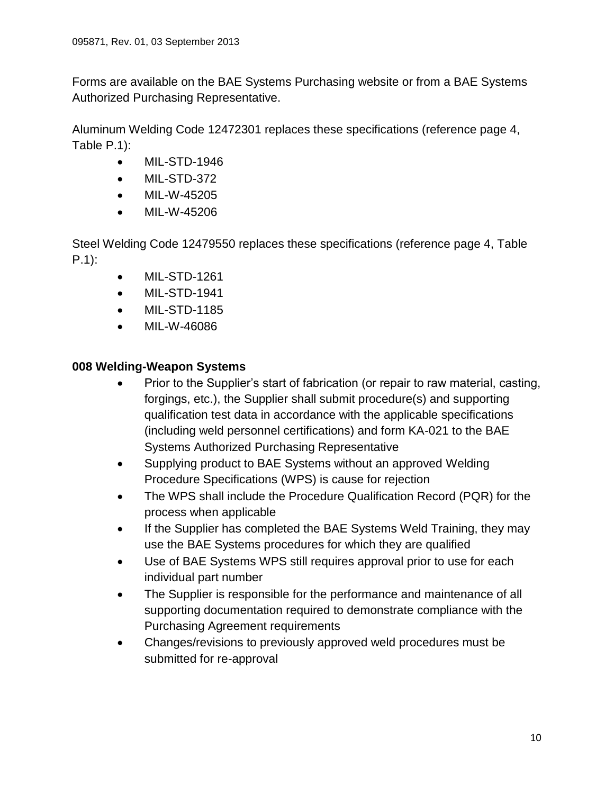Forms are available on the BAE Systems Purchasing website or from a BAE Systems Authorized Purchasing Representative.

Aluminum Welding Code 12472301 replaces these specifications (reference page 4, Table P.1):

- MIL-STD-1946
- MIL-STD-372
- MIL-W-45205
- MIL-W-45206

Steel Welding Code 12479550 replaces these specifications (reference page 4, Table P.1):

- MIL-STD-1261
- MIL-STD-1941
- MIL-STD-1185
- MIL-W-46086

### <span id="page-9-0"></span>**008 Welding-Weapon Systems**

- Prior to the Supplier's start of fabrication (or repair to raw material, casting, forgings, etc.), the Supplier shall submit procedure(s) and supporting qualification test data in accordance with the applicable specifications (including weld personnel certifications) and form KA-021 to the BAE Systems Authorized Purchasing Representative
- Supplying product to BAE Systems without an approved Welding Procedure Specifications (WPS) is cause for rejection
- The WPS shall include the Procedure Qualification Record (PQR) for the process when applicable
- If the Supplier has completed the BAE Systems Weld Training, they may use the BAE Systems procedures for which they are qualified
- Use of BAE Systems WPS still requires approval prior to use for each individual part number
- The Supplier is responsible for the performance and maintenance of all supporting documentation required to demonstrate compliance with the Purchasing Agreement requirements
- <span id="page-9-1"></span> Changes/revisions to previously approved weld procedures must be submitted for re-approval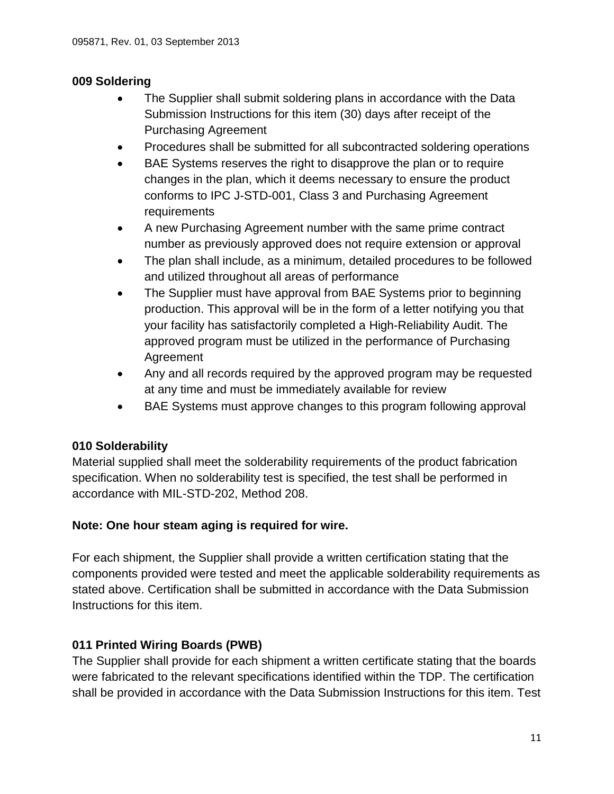### **009 Soldering**

- The Supplier shall submit soldering plans in accordance with the Data Submission Instructions for this item (30) days after receipt of the Purchasing Agreement
- Procedures shall be submitted for all subcontracted soldering operations
- BAE Systems reserves the right to disapprove the plan or to require changes in the plan, which it deems necessary to ensure the product conforms to IPC J-STD-001, Class 3 and Purchasing Agreement requirements
- A new Purchasing Agreement number with the same prime contract number as previously approved does not require extension or approval
- The plan shall include, as a minimum, detailed procedures to be followed and utilized throughout all areas of performance
- The Supplier must have approval from BAE Systems prior to beginning production. This approval will be in the form of a letter notifying you that your facility has satisfactorily completed a High-Reliability Audit. The approved program must be utilized in the performance of Purchasing Agreement
- Any and all records required by the approved program may be requested at any time and must be immediately available for review
- BAE Systems must approve changes to this program following approval

# <span id="page-10-0"></span>**010 Solderability**

Material supplied shall meet the solderability requirements of the product fabrication specification. When no solderability test is specified, the test shall be performed in accordance with MIL-STD-202, Method 208.

### **Note: One hour steam aging is required for wire.**

For each shipment, the Supplier shall provide a written certification stating that the components provided were tested and meet the applicable solderability requirements as stated above. Certification shall be submitted in accordance with the Data Submission Instructions for this item.

# <span id="page-10-1"></span>**011 Printed Wiring Boards (PWB)**

The Supplier shall provide for each shipment a written certificate stating that the boards were fabricated to the relevant specifications identified within the TDP. The certification shall be provided in accordance with the Data Submission Instructions for this item. Test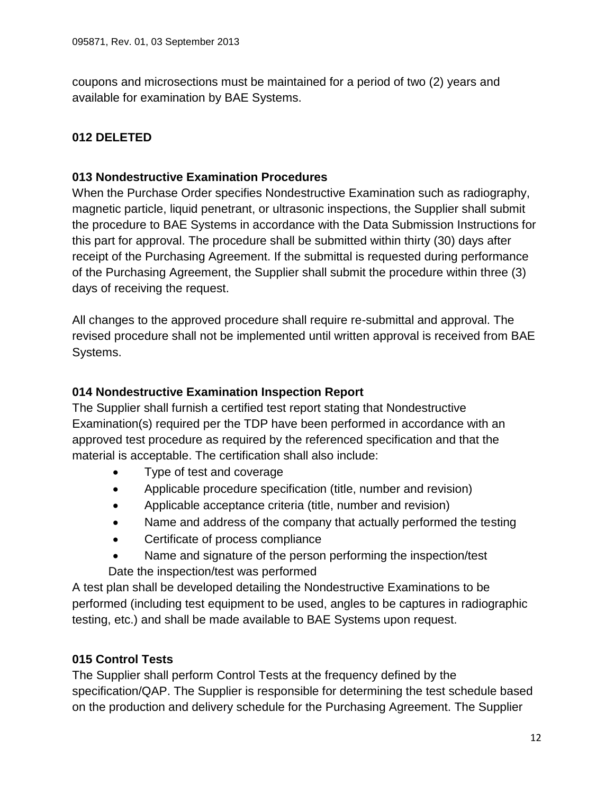coupons and microsections must be maintained for a period of two (2) years and available for examination by BAE Systems.

# <span id="page-11-1"></span><span id="page-11-0"></span>**012 DELETED**

### **013 Nondestructive Examination Procedures**

When the Purchase Order specifies Nondestructive Examination such as radiography, magnetic particle, liquid penetrant, or ultrasonic inspections, the Supplier shall submit the procedure to BAE Systems in accordance with the Data Submission Instructions for this part for approval. The procedure shall be submitted within thirty (30) days after receipt of the Purchasing Agreement. If the submittal is requested during performance of the Purchasing Agreement, the Supplier shall submit the procedure within three (3) days of receiving the request.

All changes to the approved procedure shall require re-submittal and approval. The revised procedure shall not be implemented until written approval is received from BAE Systems.

### <span id="page-11-2"></span>**014 Nondestructive Examination Inspection Report**

The Supplier shall furnish a certified test report stating that Nondestructive Examination(s) required per the TDP have been performed in accordance with an approved test procedure as required by the referenced specification and that the material is acceptable. The certification shall also include:

- Type of test and coverage
- Applicable procedure specification (title, number and revision)
- Applicable acceptance criteria (title, number and revision)
- Name and address of the company that actually performed the testing
- Certificate of process compliance
- Name and signature of the person performing the inspection/test Date the inspection/test was performed

A test plan shall be developed detailing the Nondestructive Examinations to be performed (including test equipment to be used, angles to be captures in radiographic testing, etc.) and shall be made available to BAE Systems upon request.

### <span id="page-11-3"></span>**015 Control Tests**

The Supplier shall perform Control Tests at the frequency defined by the specification/QAP. The Supplier is responsible for determining the test schedule based on the production and delivery schedule for the Purchasing Agreement. The Supplier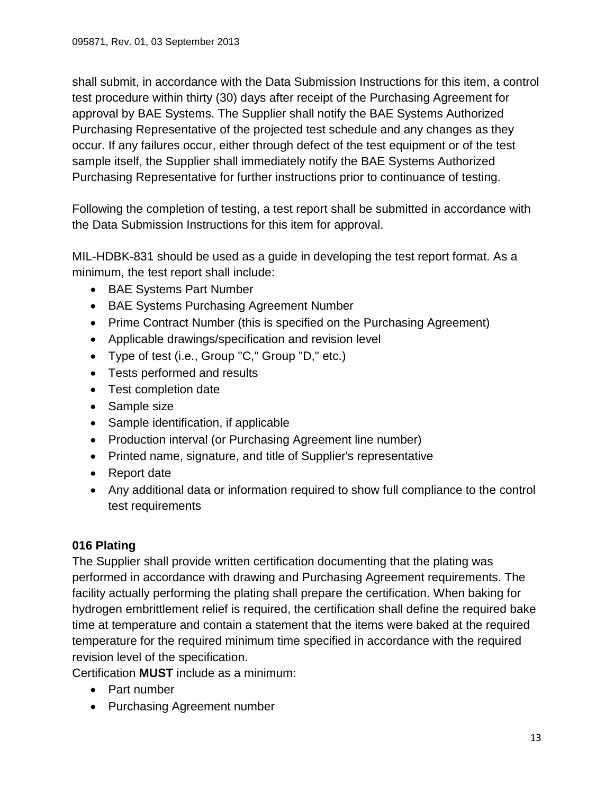shall submit, in accordance with the Data Submission Instructions for this item, a control test procedure within thirty (30) days after receipt of the Purchasing Agreement for approval by BAE Systems. The Supplier shall notify the BAE Systems Authorized Purchasing Representative of the projected test schedule and any changes as they occur. If any failures occur, either through defect of the test equipment or of the test sample itself, the Supplier shall immediately notify the BAE Systems Authorized Purchasing Representative for further instructions prior to continuance of testing.

Following the completion of testing, a test report shall be submitted in accordance with the Data Submission Instructions for this item for approval.

MIL-HDBK-831 should be used as a guide in developing the test report format. As a minimum, the test report shall include:

- BAE Systems Part Number
- BAE Systems Purchasing Agreement Number
- Prime Contract Number (this is specified on the Purchasing Agreement)
- Applicable drawings/specification and revision level
- Type of test (i.e., Group "C," Group "D," etc.)
- Tests performed and results
- Test completion date
- Sample size
- Sample identification, if applicable
- Production interval (or Purchasing Agreement line number)
- Printed name, signature, and title of Supplier's representative
- Report date
- Any additional data or information required to show full compliance to the control test requirements

# <span id="page-12-0"></span>**016 Plating**

The Supplier shall provide written certification documenting that the plating was performed in accordance with drawing and Purchasing Agreement requirements. The facility actually performing the plating shall prepare the certification. When baking for hydrogen embrittlement relief is required, the certification shall define the required bake time at temperature and contain a statement that the items were baked at the required temperature for the required minimum time specified in accordance with the required revision level of the specification.

Certification **MUST** include as a minimum:

- Part number
- Purchasing Agreement number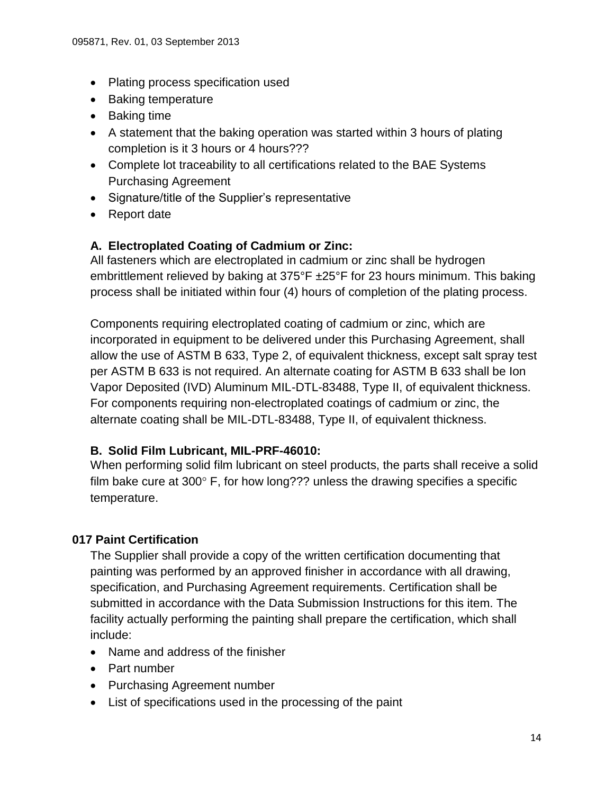- Plating process specification used
- Baking temperature
- Baking time
- A statement that the baking operation was started within 3 hours of plating completion is it 3 hours or 4 hours???
- Complete lot traceability to all certifications related to the BAE Systems Purchasing Agreement
- Signature/title of the Supplier's representative
- Report date

### <span id="page-13-0"></span>**A. Electroplated Coating of Cadmium or Zinc:**

All fasteners which are electroplated in cadmium or zinc shall be hydrogen embrittlement relieved by baking at 375°F ±25°F for 23 hours minimum. This baking process shall be initiated within four (4) hours of completion of the plating process.

Components requiring electroplated coating of cadmium or zinc, which are incorporated in equipment to be delivered under this Purchasing Agreement, shall allow the use of ASTM B 633, Type 2, of equivalent thickness, except salt spray test per ASTM B 633 is not required. An alternate coating for ASTM B 633 shall be Ion Vapor Deposited (IVD) Aluminum MIL-DTL-83488, Type II, of equivalent thickness. For components requiring non-electroplated coatings of cadmium or zinc, the alternate coating shall be MIL-DTL-83488, Type II, of equivalent thickness.

### <span id="page-13-1"></span>**B. Solid Film Lubricant, MIL-PRF-46010:**

When performing solid film lubricant on steel products, the parts shall receive a solid film bake cure at 300 $^{\circ}$  F, for how long??? unless the drawing specifies a specific temperature.

### <span id="page-13-2"></span>**017 Paint Certification**

The Supplier shall provide a copy of the written certification documenting that painting was performed by an approved finisher in accordance with all drawing, specification, and Purchasing Agreement requirements. Certification shall be submitted in accordance with the Data Submission Instructions for this item. The facility actually performing the painting shall prepare the certification, which shall include:

- Name and address of the finisher
- Part number
- Purchasing Agreement number
- List of specifications used in the processing of the paint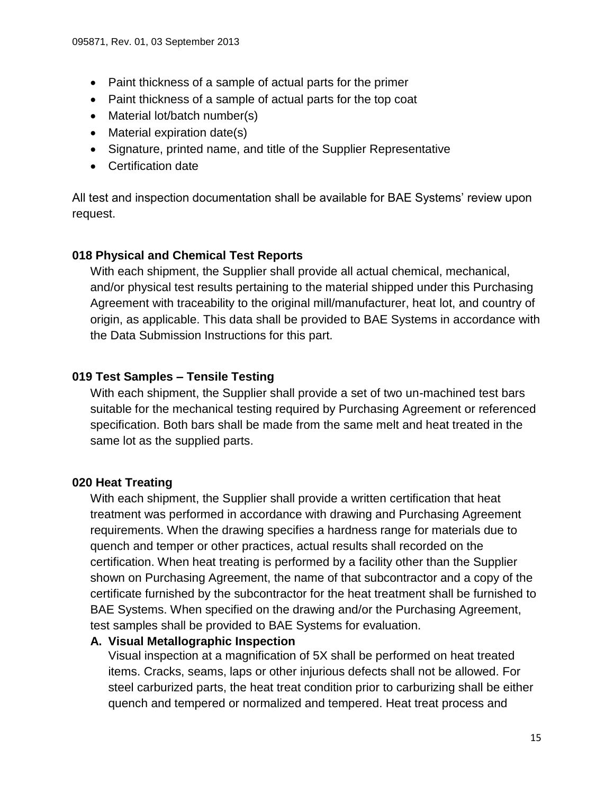- Paint thickness of a sample of actual parts for the primer
- Paint thickness of a sample of actual parts for the top coat
- Material lot/batch number(s)
- Material expiration date(s)
- Signature, printed name, and title of the Supplier Representative
- Certification date

All test and inspection documentation shall be available for BAE Systems' review upon request.

### <span id="page-14-0"></span>**018 Physical and Chemical Test Reports**

With each shipment, the Supplier shall provide all actual chemical, mechanical, and/or physical test results pertaining to the material shipped under this Purchasing Agreement with traceability to the original mill/manufacturer, heat lot, and country of origin, as applicable. This data shall be provided to BAE Systems in accordance with the Data Submission Instructions for this part.

### <span id="page-14-1"></span>**019 Test Samples – Tensile Testing**

With each shipment, the Supplier shall provide a set of two un-machined test bars suitable for the mechanical testing required by Purchasing Agreement or referenced specification. Both bars shall be made from the same melt and heat treated in the same lot as the supplied parts.

### <span id="page-14-2"></span>**020 Heat Treating**

With each shipment, the Supplier shall provide a written certification that heat treatment was performed in accordance with drawing and Purchasing Agreement requirements. When the drawing specifies a hardness range for materials due to quench and temper or other practices, actual results shall recorded on the certification. When heat treating is performed by a facility other than the Supplier shown on Purchasing Agreement, the name of that subcontractor and a copy of the certificate furnished by the subcontractor for the heat treatment shall be furnished to BAE Systems. When specified on the drawing and/or the Purchasing Agreement, test samples shall be provided to BAE Systems for evaluation.

### <span id="page-14-3"></span>**A. Visual Metallographic Inspection**

Visual inspection at a magnification of 5X shall be performed on heat treated items. Cracks, seams, laps or other injurious defects shall not be allowed. For steel carburized parts, the heat treat condition prior to carburizing shall be either quench and tempered or normalized and tempered. Heat treat process and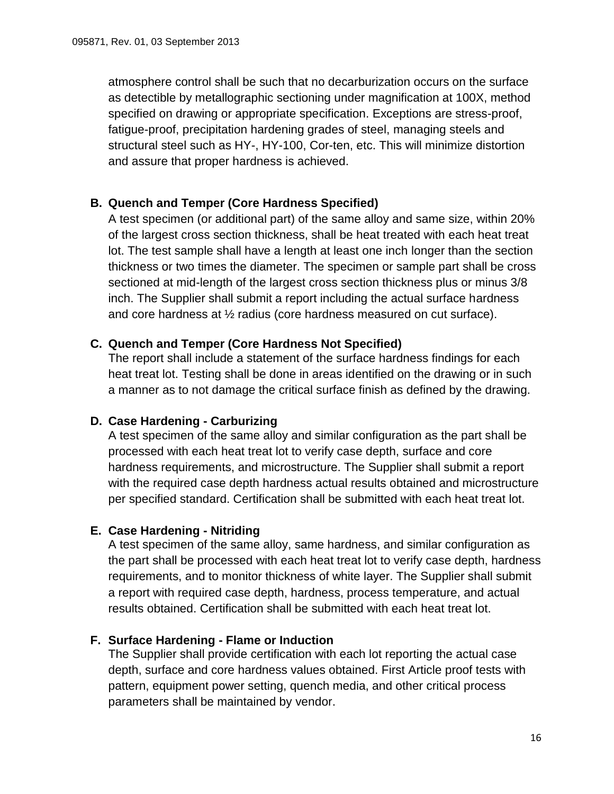atmosphere control shall be such that no decarburization occurs on the surface as detectible by metallographic sectioning under magnification at 100X, method specified on drawing or appropriate specification. Exceptions are stress-proof, fatigue-proof, precipitation hardening grades of steel, managing steels and structural steel such as HY-, HY-100, Cor-ten, etc. This will minimize distortion and assure that proper hardness is achieved.

### <span id="page-15-0"></span>**B. Quench and Temper (Core Hardness Specified)**

A test specimen (or additional part) of the same alloy and same size, within 20% of the largest cross section thickness, shall be heat treated with each heat treat lot. The test sample shall have a length at least one inch longer than the section thickness or two times the diameter. The specimen or sample part shall be cross sectioned at mid-length of the largest cross section thickness plus or minus 3/8 inch. The Supplier shall submit a report including the actual surface hardness and core hardness at ½ radius (core hardness measured on cut surface).

#### <span id="page-15-1"></span>**C. Quench and Temper (Core Hardness Not Specified)**

The report shall include a statement of the surface hardness findings for each heat treat lot. Testing shall be done in areas identified on the drawing or in such a manner as to not damage the critical surface finish as defined by the drawing.

### <span id="page-15-2"></span>**D. Case Hardening - Carburizing**

A test specimen of the same alloy and similar configuration as the part shall be processed with each heat treat lot to verify case depth, surface and core hardness requirements, and microstructure. The Supplier shall submit a report with the required case depth hardness actual results obtained and microstructure per specified standard. Certification shall be submitted with each heat treat lot.

#### <span id="page-15-3"></span>**E. Case Hardening - Nitriding**

A test specimen of the same alloy, same hardness, and similar configuration as the part shall be processed with each heat treat lot to verify case depth, hardness requirements, and to monitor thickness of white layer. The Supplier shall submit a report with required case depth, hardness, process temperature, and actual results obtained. Certification shall be submitted with each heat treat lot.

### <span id="page-15-4"></span>**F. Surface Hardening - Flame or Induction**

The Supplier shall provide certification with each lot reporting the actual case depth, surface and core hardness values obtained. First Article proof tests with pattern, equipment power setting, quench media, and other critical process parameters shall be maintained by vendor.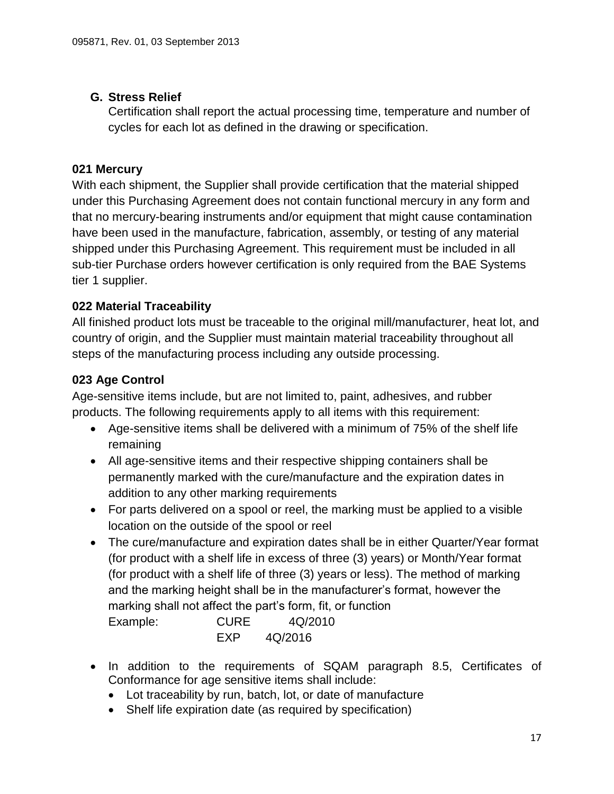# <span id="page-16-0"></span>**G. Stress Relief**

Certification shall report the actual processing time, temperature and number of cycles for each lot as defined in the drawing or specification.

# <span id="page-16-1"></span>**021 Mercury**

With each shipment, the Supplier shall provide certification that the material shipped under this Purchasing Agreement does not contain functional mercury in any form and that no mercury-bearing instruments and/or equipment that might cause contamination have been used in the manufacture, fabrication, assembly, or testing of any material shipped under this Purchasing Agreement. This requirement must be included in all sub-tier Purchase orders however certification is only required from the BAE Systems tier 1 supplier.

# <span id="page-16-2"></span>**022 Material Traceability**

All finished product lots must be traceable to the original mill/manufacturer, heat lot, and country of origin, and the Supplier must maintain material traceability throughout all steps of the manufacturing process including any outside processing.

# **023 Age Control**

Age-sensitive items include, but are not limited to, paint, adhesives, and rubber products. The following requirements apply to all items with this requirement:

- <span id="page-16-3"></span> Age-sensitive items shall be delivered with a minimum of 75% of the shelf life remaining
- All age-sensitive items and their respective shipping containers shall be permanently marked with the cure/manufacture and the expiration dates in addition to any other marking requirements
- For parts delivered on a spool or reel, the marking must be applied to a visible location on the outside of the spool or reel
- The cure/manufacture and expiration dates shall be in either Quarter/Year format (for product with a shelf life in excess of three (3) years) or Month/Year format (for product with a shelf life of three (3) years or less). The method of marking and the marking height shall be in the manufacturer's format, however the marking shall not affect the part's form, fit, or function Example: CURE 4Q/2010 EXP 4Q/2016
- In addition to the requirements of SQAM paragraph 8.5, Certificates of Conformance for age sensitive items shall include:
	- Lot traceability by run, batch, lot, or date of manufacture
	- Shelf life expiration date (as required by specification)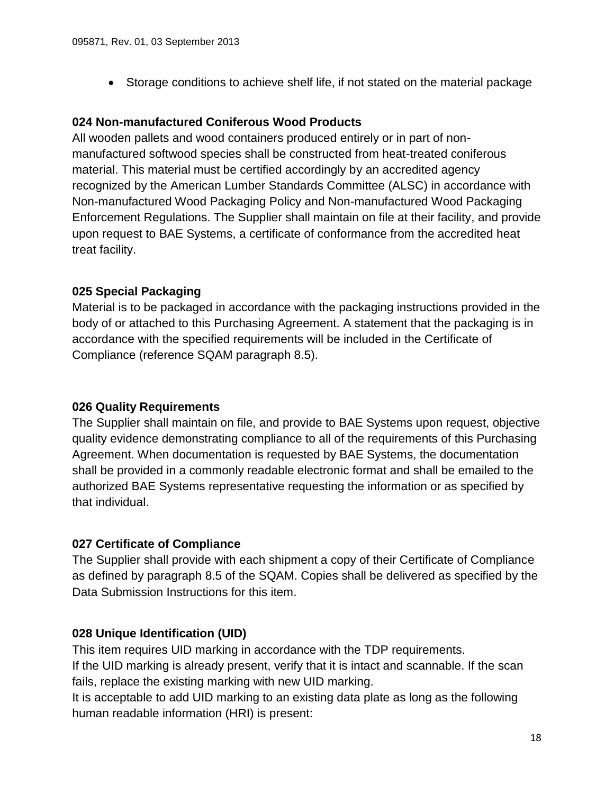Storage conditions to achieve shelf life, if not stated on the material package

### <span id="page-17-0"></span>**024 Non-manufactured Coniferous Wood Products**

All wooden pallets and wood containers produced entirely or in part of nonmanufactured softwood species shall be constructed from heat-treated coniferous material. This material must be certified accordingly by an accredited agency recognized by the American Lumber Standards Committee (ALSC) in accordance with Non-manufactured Wood Packaging Policy and Non-manufactured Wood Packaging Enforcement Regulations. The Supplier shall maintain on file at their facility, and provide upon request to BAE Systems, a certificate of conformance from the accredited heat treat facility.

### <span id="page-17-1"></span>**025 Special Packaging**

Material is to be packaged in accordance with the packaging instructions provided in the body of or attached to this Purchasing Agreement. A statement that the packaging is in accordance with the specified requirements will be included in the Certificate of Compliance (reference SQAM paragraph 8.5).

#### <span id="page-17-2"></span>**026 Quality Requirements**

The Supplier shall maintain on file, and provide to BAE Systems upon request, objective quality evidence demonstrating compliance to all of the requirements of this Purchasing Agreement. When documentation is requested by BAE Systems, the documentation shall be provided in a commonly readable electronic format and shall be emailed to the authorized BAE Systems representative requesting the information or as specified by that individual.

### <span id="page-17-3"></span>**027 Certificate of Compliance**

The Supplier shall provide with each shipment a copy of their Certificate of Compliance as defined by paragraph 8.5 of the SQAM. Copies shall be delivered as specified by the Data Submission Instructions for this item.

#### <span id="page-17-4"></span>**028 Unique Identification (UID)**

This item requires UID marking in accordance with the TDP requirements. If the UID marking is already present, verify that it is intact and scannable. If the scan fails, replace the existing marking with new UID marking.

It is acceptable to add UID marking to an existing data plate as long as the following human readable information (HRI) is present: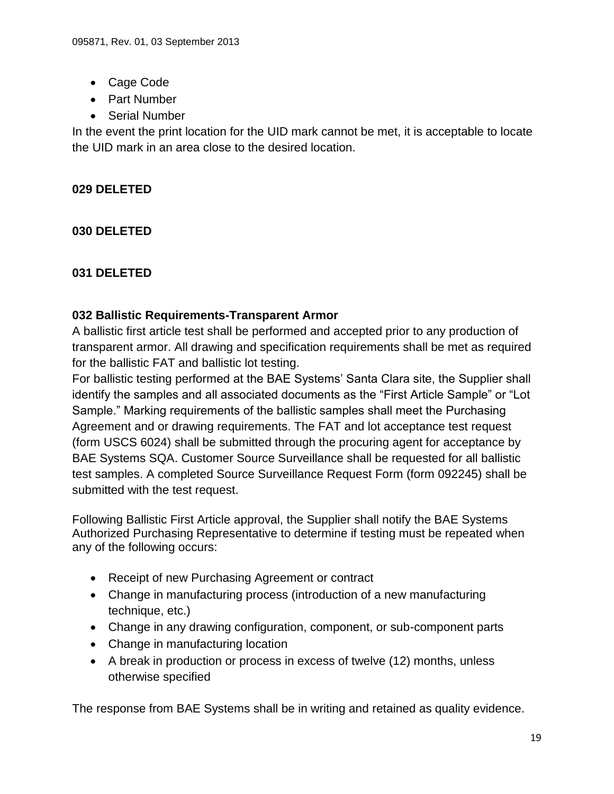- Cage Code
- Part Number
- Serial Number

In the event the print location for the UID mark cannot be met, it is acceptable to locate the UID mark in an area close to the desired location.

# <span id="page-18-1"></span><span id="page-18-0"></span>**029 DELETED**

<span id="page-18-2"></span>**030 DELETED**

### <span id="page-18-3"></span>**031 DELETED**

#### **032 Ballistic Requirements-Transparent Armor**

A ballistic first article test shall be performed and accepted prior to any production of transparent armor. All drawing and specification requirements shall be met as required for the ballistic FAT and ballistic lot testing.

For ballistic testing performed at the BAE Systems' Santa Clara site, the Supplier shall identify the samples and all associated documents as the "First Article Sample" or "Lot Sample." Marking requirements of the ballistic samples shall meet the Purchasing Agreement and or drawing requirements. The FAT and lot acceptance test request (form USCS 6024) shall be submitted through the procuring agent for acceptance by BAE Systems SQA. Customer Source Surveillance shall be requested for all ballistic test samples. A completed Source Surveillance Request Form (form 092245) shall be submitted with the test request.

Following Ballistic First Article approval, the Supplier shall notify the BAE Systems Authorized Purchasing Representative to determine if testing must be repeated when any of the following occurs:

- Receipt of new Purchasing Agreement or contract
- Change in manufacturing process (introduction of a new manufacturing technique, etc.)
- Change in any drawing configuration, component, or sub-component parts
- Change in manufacturing location
- A break in production or process in excess of twelve (12) months, unless otherwise specified

The response from BAE Systems shall be in writing and retained as quality evidence.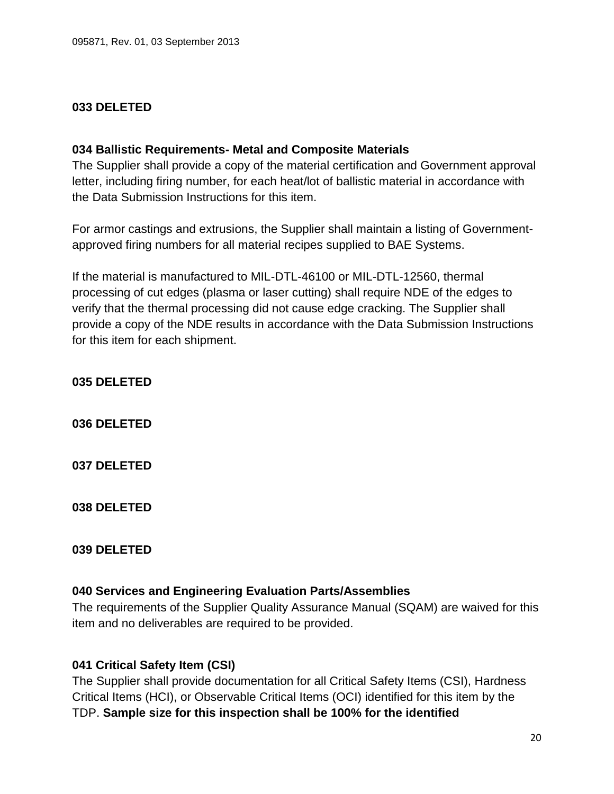#### <span id="page-19-1"></span><span id="page-19-0"></span>**033 DELETED**

#### **034 Ballistic Requirements- Metal and Composite Materials**

The Supplier shall provide a copy of the material certification and Government approval letter, including firing number, for each heat/lot of ballistic material in accordance with the Data Submission Instructions for this item.

For armor castings and extrusions, the Supplier shall maintain a listing of Governmentapproved firing numbers for all material recipes supplied to BAE Systems.

If the material is manufactured to MIL-DTL-46100 or MIL-DTL-12560, thermal processing of cut edges (plasma or laser cutting) shall require NDE of the edges to verify that the thermal processing did not cause edge cracking. The Supplier shall provide a copy of the NDE results in accordance with the Data Submission Instructions for this item for each shipment.

<span id="page-19-2"></span>**035 DELETED**

<span id="page-19-3"></span>**036 DELETED**

<span id="page-19-4"></span>**037 DELETED**

<span id="page-19-5"></span>**038 DELETED**

#### <span id="page-19-6"></span>**039 DELETED**

#### <span id="page-19-7"></span>**040 Services and Engineering Evaluation Parts/Assemblies**

The requirements of the Supplier Quality Assurance Manual (SQAM) are waived for this item and no deliverables are required to be provided.

#### <span id="page-19-8"></span>**041 Critical Safety Item (CSI)**

The Supplier shall provide documentation for all Critical Safety Items (CSI), Hardness Critical Items (HCI), or Observable Critical Items (OCI) identified for this item by the TDP. **Sample size for this inspection shall be 100% for the identified**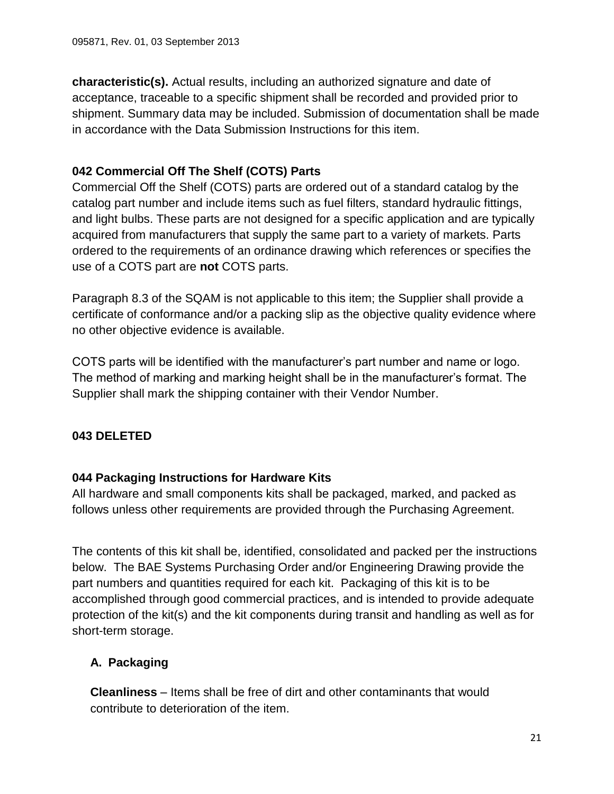**characteristic(s).** Actual results, including an authorized signature and date of acceptance, traceable to a specific shipment shall be recorded and provided prior to shipment. Summary data may be included. Submission of documentation shall be made in accordance with the Data Submission Instructions for this item.

# <span id="page-20-0"></span>**042 Commercial Off The Shelf (COTS) Parts**

Commercial Off the Shelf (COTS) parts are ordered out of a standard catalog by the catalog part number and include items such as fuel filters, standard hydraulic fittings, and light bulbs. These parts are not designed for a specific application and are typically acquired from manufacturers that supply the same part to a variety of markets. Parts ordered to the requirements of an ordinance drawing which references or specifies the use of a COTS part are **not** COTS parts.

Paragraph 8.3 of the SQAM is not applicable to this item; the Supplier shall provide a certificate of conformance and/or a packing slip as the objective quality evidence where no other objective evidence is available.

COTS parts will be identified with the manufacturer's part number and name or logo. The method of marking and marking height shall be in the manufacturer's format. The Supplier shall mark the shipping container with their Vendor Number.

# <span id="page-20-2"></span><span id="page-20-1"></span>**043 DELETED**

### **044 Packaging Instructions for Hardware Kits**

All hardware and small components kits shall be packaged, marked, and packed as follows unless other requirements are provided through the Purchasing Agreement.

The contents of this kit shall be, identified, consolidated and packed per the instructions below. The BAE Systems Purchasing Order and/or Engineering Drawing provide the part numbers and quantities required for each kit. Packaging of this kit is to be accomplished through good commercial practices, and is intended to provide adequate protection of the kit(s) and the kit components during transit and handling as well as for short-term storage.

# <span id="page-20-3"></span>**A. Packaging**

**Cleanliness** – Items shall be free of dirt and other contaminants that would contribute to deterioration of the item.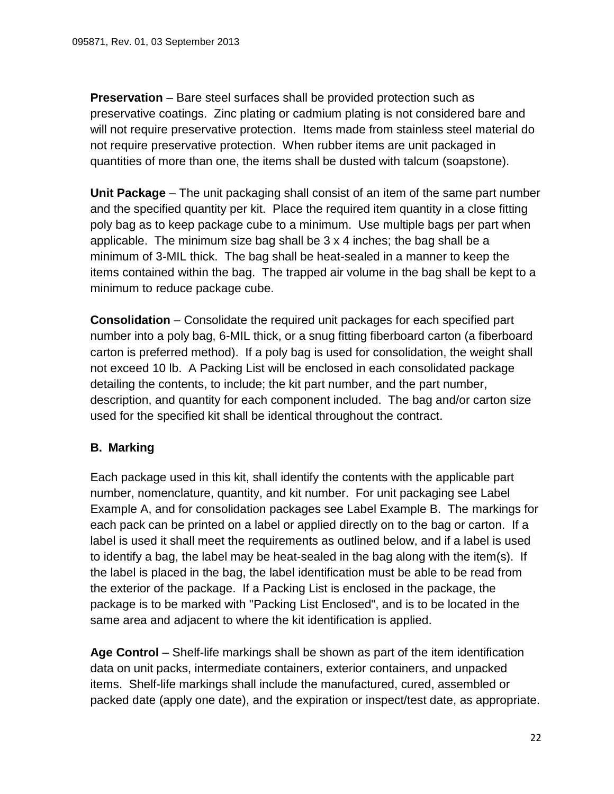**Preservation** – Bare steel surfaces shall be provided protection such as preservative coatings. Zinc plating or cadmium plating is not considered bare and will not require preservative protection. Items made from stainless steel material do not require preservative protection. When rubber items are unit packaged in quantities of more than one, the items shall be dusted with talcum (soapstone).

**Unit Package** – The unit packaging shall consist of an item of the same part number and the specified quantity per kit. Place the required item quantity in a close fitting poly bag as to keep package cube to a minimum. Use multiple bags per part when applicable. The minimum size bag shall be 3 x 4 inches; the bag shall be a minimum of 3-MIL thick. The bag shall be heat-sealed in a manner to keep the items contained within the bag. The trapped air volume in the bag shall be kept to a minimum to reduce package cube.

**Consolidation** – Consolidate the required unit packages for each specified part number into a poly bag, 6-MIL thick, or a snug fitting fiberboard carton (a fiberboard carton is preferred method). If a poly bag is used for consolidation, the weight shall not exceed 10 lb. A Packing List will be enclosed in each consolidated package detailing the contents, to include; the kit part number, and the part number, description, and quantity for each component included. The bag and/or carton size used for the specified kit shall be identical throughout the contract.

# <span id="page-21-0"></span>**B. Marking**

Each package used in this kit, shall identify the contents with the applicable part number, nomenclature, quantity, and kit number. For unit packaging see Label Example A, and for consolidation packages see Label Example B. The markings for each pack can be printed on a label or applied directly on to the bag or carton. If a label is used it shall meet the requirements as outlined below, and if a label is used to identify a bag, the label may be heat-sealed in the bag along with the item(s). If the label is placed in the bag, the label identification must be able to be read from the exterior of the package. If a Packing List is enclosed in the package, the package is to be marked with "Packing List Enclosed", and is to be located in the same area and adjacent to where the kit identification is applied.

**Age Control** – Shelf-life markings shall be shown as part of the item identification data on unit packs, intermediate containers, exterior containers, and unpacked items. Shelf-life markings shall include the manufactured, cured, assembled or packed date (apply one date), and the expiration or inspect/test date, as appropriate.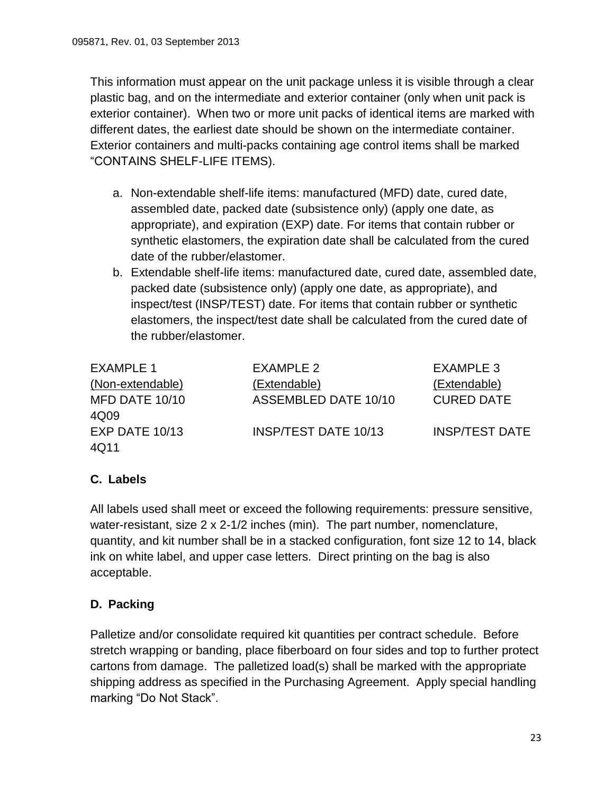This information must appear on the unit package unless it is visible through a clear plastic bag, and on the intermediate and exterior container (only when unit pack is exterior container). When two or more unit packs of identical items are marked with different dates, the earliest date should be shown on the intermediate container. Exterior containers and multi-packs containing age control items shall be marked "CONTAINS SHELF-LIFE ITEMS).

- a. Non-extendable shelf-life items: manufactured (MFD) date, cured date, assembled date, packed date (subsistence only) (apply one date, as appropriate), and expiration (EXP) date. For items that contain rubber or synthetic elastomers, the expiration date shall be calculated from the cured date of the rubber/elastomer.
- b. Extendable shelf-life items: manufactured date, cured date, assembled date, packed date (subsistence only) (apply one date, as appropriate), and inspect/test (INSP/TEST) date. For items that contain rubber or synthetic elastomers, the inspect/test date shall be calculated from the cured date of the rubber/elastomer.

| <b>EXAMPLE 1</b> | EXAMPLE 2                   | EXAMPLE 3             |
|------------------|-----------------------------|-----------------------|
| (Non-extendable) | (Extendable)                | (Extendable)          |
| MFD DATE 10/10   | ASSEMBLED DATE 10/10        | <b>CURED DATE</b>     |
| 4Q09             |                             |                       |
| EXP DATE 10/13   | <b>INSP/TEST DATE 10/13</b> | <b>INSP/TEST DATE</b> |
| 4Q11             |                             |                       |

# <span id="page-22-0"></span>**C. Labels**

All labels used shall meet or exceed the following requirements: pressure sensitive, water-resistant, size 2 x 2-1/2 inches (min). The part number, nomenclature, quantity, and kit number shall be in a stacked configuration, font size 12 to 14, black ink on white label, and upper case letters. Direct printing on the bag is also acceptable.

# <span id="page-22-1"></span>**D. Packing**

Palletize and/or consolidate required kit quantities per contract schedule. Before stretch wrapping or banding, place fiberboard on four sides and top to further protect cartons from damage. The palletized load(s) shall be marked with the appropriate shipping address as specified in the Purchasing Agreement. Apply special handling marking "Do Not Stack".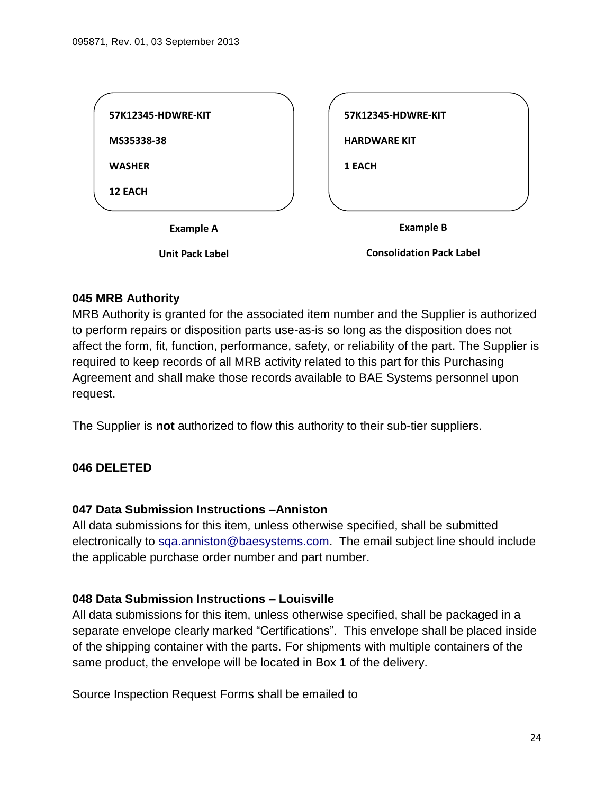| 57K12345-HDWRE-KIT     | 57K12345-HDWRE-KIT              |
|------------------------|---------------------------------|
| MS35338-38             | <b>HARDWARE KIT</b>             |
| <b>WASHER</b>          | <b>1 EACH</b>                   |
| <b>12 EACH</b>         |                                 |
| <b>Example A</b>       | <b>Example B</b>                |
| <b>Unit Pack Label</b> | <b>Consolidation Pack Label</b> |

#### <span id="page-23-0"></span>**045 MRB Authority**

MRB Authority is granted for the associated item number and the Supplier is authorized to perform repairs or disposition parts use-as-is so long as the disposition does not affect the form, fit, function, performance, safety, or reliability of the part. The Supplier is required to keep records of all MRB activity related to this part for this Purchasing Agreement and shall make those records available to BAE Systems personnel upon request.

<span id="page-23-1"></span>The Supplier is **not** authorized to flow this authority to their sub-tier suppliers.

#### <span id="page-23-2"></span>**046 DELETED**

#### **047 Data Submission Instructions –Anniston**

All data submissions for this item, unless otherwise specified, shall be submitted electronically to [sqa.anniston@baesystems.com.](mailto:sqa.anniston@baesystems.com) The email subject line should include the applicable purchase order number and part number.

#### <span id="page-23-3"></span>**048 Data Submission Instructions – Louisville**

All data submissions for this item, unless otherwise specified, shall be packaged in a separate envelope clearly marked "Certifications". This envelope shall be placed inside of the shipping container with the parts. For shipments with multiple containers of the same product, the envelope will be located in Box 1 of the delivery.

Source Inspection Request Forms shall be emailed to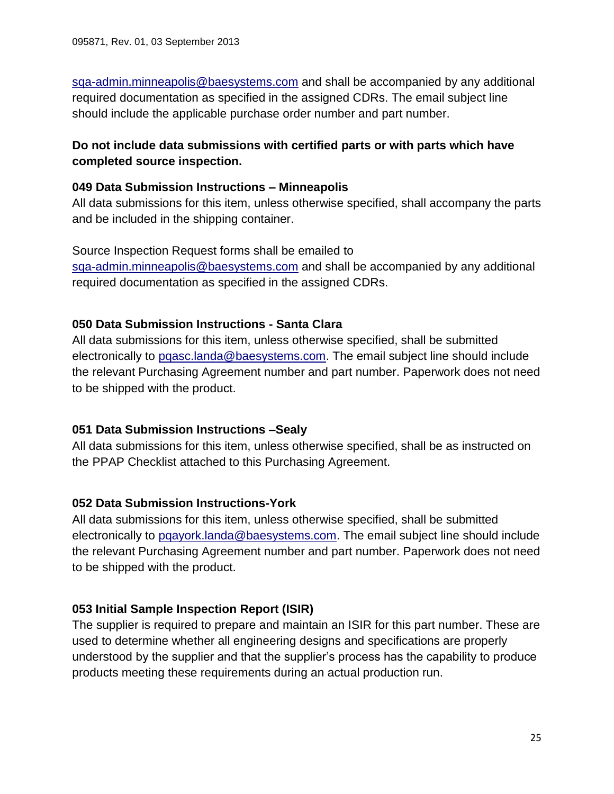[sqa-admin.minneapolis@baesystems.com](mailto:sqa-admin.minneapolis@baesystems.com) and shall be accompanied by any additional required documentation as specified in the assigned CDRs. The email subject line should include the applicable purchase order number and part number.

### **Do not include data submissions with certified parts or with parts which have completed source inspection.**

#### <span id="page-24-0"></span>**049 Data Submission Instructions – Minneapolis**

All data submissions for this item, unless otherwise specified, shall accompany the parts and be included in the shipping container.

Source Inspection Request forms shall be emailed to [sqa-admin.minneapolis@baesystems.com](mailto:sqa-admin.minneapolis@baesystems.com) and shall be accompanied by any additional required documentation as specified in the assigned CDRs.

### <span id="page-24-1"></span>**050 Data Submission Instructions - Santa Clara**

All data submissions for this item, unless otherwise specified, shall be submitted electronically to [pqasc.landa@baesystems.com.](mailto:pqasc.landa@baesystems.com) The email subject line should include the relevant Purchasing Agreement number and part number. Paperwork does not need to be shipped with the product.

#### <span id="page-24-2"></span>**051 Data Submission Instructions –Sealy**

All data submissions for this item, unless otherwise specified, shall be as instructed on the PPAP Checklist attached to this Purchasing Agreement.

#### <span id="page-24-3"></span>**052 Data Submission Instructions-York**

All data submissions for this item, unless otherwise specified, shall be submitted electronically to [pqayork.landa@baesystems.com.](mailto:pqayork.landa@baesystems.com) The email subject line should include the relevant Purchasing Agreement number and part number. Paperwork does not need to be shipped with the product.

### <span id="page-24-4"></span>**053 Initial Sample Inspection Report (ISIR)**

The supplier is required to prepare and maintain an ISIR for this part number. These are used to determine whether all engineering designs and specifications are properly understood by the supplier and that the supplier's process has the capability to produce products meeting these requirements during an actual production run.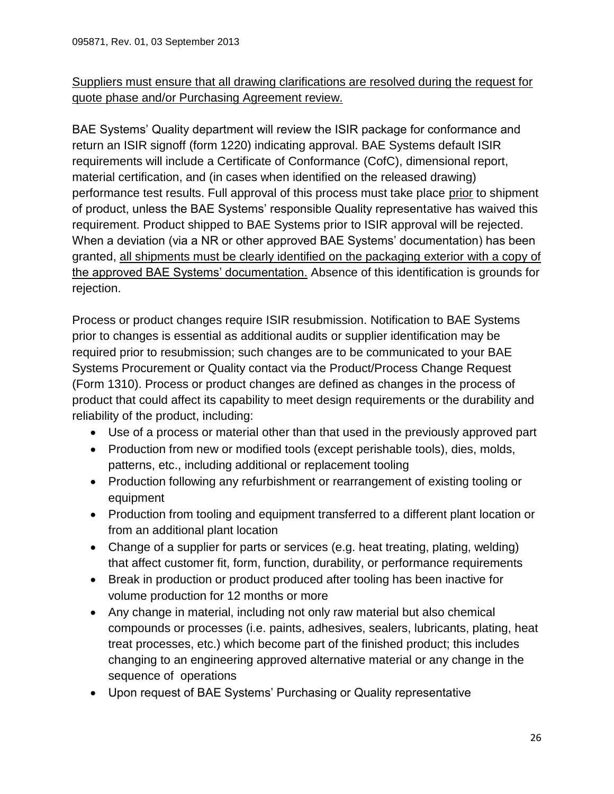# Suppliers must ensure that all drawing clarifications are resolved during the request for quote phase and/or Purchasing Agreement review.

BAE Systems' Quality department will review the ISIR package for conformance and return an ISIR signoff (form 1220) indicating approval. BAE Systems default ISIR requirements will include a Certificate of Conformance (CofC), dimensional report, material certification, and (in cases when identified on the released drawing) performance test results. Full approval of this process must take place prior to shipment of product, unless the BAE Systems' responsible Quality representative has waived this requirement. Product shipped to BAE Systems prior to ISIR approval will be rejected. When a deviation (via a NR or other approved BAE Systems' documentation) has been granted, all shipments must be clearly identified on the packaging exterior with a copy of the approved BAE Systems' documentation. Absence of this identification is grounds for rejection.

Process or product changes require ISIR resubmission. Notification to BAE Systems prior to changes is essential as additional audits or supplier identification may be required prior to resubmission; such changes are to be communicated to your BAE Systems Procurement or Quality contact via the Product/Process Change Request (Form 1310). Process or product changes are defined as changes in the process of product that could affect its capability to meet design requirements or the durability and reliability of the product, including:

- Use of a process or material other than that used in the previously approved part
- Production from new or modified tools (except perishable tools), dies, molds, patterns, etc., including additional or replacement tooling
- Production following any refurbishment or rearrangement of existing tooling or equipment
- Production from tooling and equipment transferred to a different plant location or from an additional plant location
- Change of a supplier for parts or services (e.g. heat treating, plating, welding) that affect customer fit, form, function, durability, or performance requirements
- Break in production or product produced after tooling has been inactive for volume production for 12 months or more
- Any change in material, including not only raw material but also chemical compounds or processes (i.e. paints, adhesives, sealers, lubricants, plating, heat treat processes, etc.) which become part of the finished product; this includes changing to an engineering approved alternative material or any change in the sequence of operations
- Upon request of BAE Systems' Purchasing or Quality representative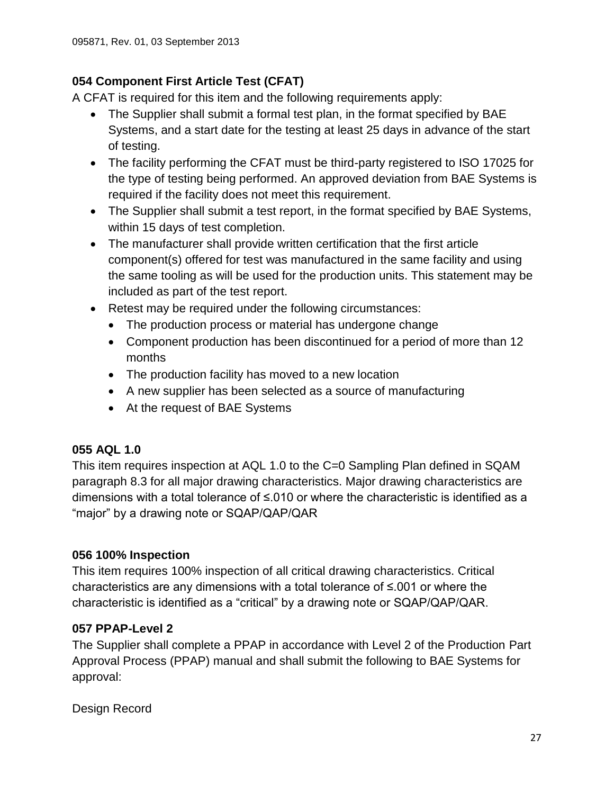# <span id="page-26-0"></span>**054 Component First Article Test (CFAT)**

A CFAT is required for this item and the following requirements apply:

- The Supplier shall submit a formal test plan, in the format specified by BAE Systems, and a start date for the testing at least 25 days in advance of the start of testing.
- The facility performing the CFAT must be third-party registered to ISO 17025 for the type of testing being performed. An approved deviation from BAE Systems is required if the facility does not meet this requirement.
- The Supplier shall submit a test report, in the format specified by BAE Systems, within 15 days of test completion.
- The manufacturer shall provide written certification that the first article component(s) offered for test was manufactured in the same facility and using the same tooling as will be used for the production units. This statement may be included as part of the test report.
- Retest may be required under the following circumstances:
	- The production process or material has undergone change
	- Component production has been discontinued for a period of more than 12 months
	- The production facility has moved to a new location
	- A new supplier has been selected as a source of manufacturing
	- At the request of BAE Systems

### <span id="page-26-1"></span>**055 AQL 1.0**

This item requires inspection at AQL 1.0 to the C=0 Sampling Plan defined in SQAM paragraph 8.3 for all major drawing characteristics. Major drawing characteristics are dimensions with a total tolerance of ≤.010 or where the characteristic is identified as a "major" by a drawing note or SQAP/QAP/QAR

### <span id="page-26-2"></span>**056 100% Inspection**

This item requires 100% inspection of all critical drawing characteristics. Critical characteristics are any dimensions with a total tolerance of ≤.001 or where the characteristic is identified as a "critical" by a drawing note or SQAP/QAP/QAR.

### <span id="page-26-3"></span>**057 PPAP-Level 2**

The Supplier shall complete a PPAP in accordance with Level 2 of the Production Part Approval Process (PPAP) manual and shall submit the following to BAE Systems for approval:

Design Record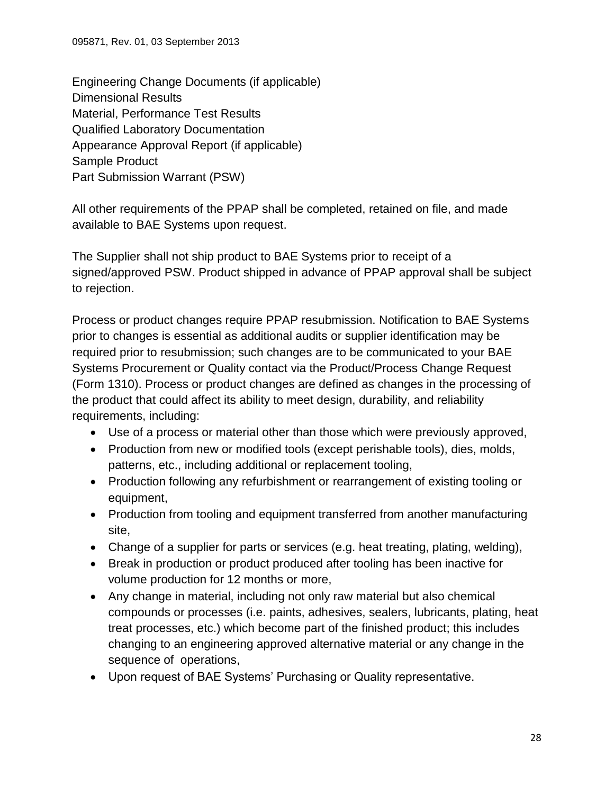Engineering Change Documents (if applicable) Dimensional Results Material, Performance Test Results Qualified Laboratory Documentation Appearance Approval Report (if applicable) Sample Product Part Submission Warrant (PSW)

All other requirements of the PPAP shall be completed, retained on file, and made available to BAE Systems upon request.

The Supplier shall not ship product to BAE Systems prior to receipt of a signed/approved PSW. Product shipped in advance of PPAP approval shall be subject to rejection.

Process or product changes require PPAP resubmission. Notification to BAE Systems prior to changes is essential as additional audits or supplier identification may be required prior to resubmission; such changes are to be communicated to your BAE Systems Procurement or Quality contact via the Product/Process Change Request (Form 1310). Process or product changes are defined as changes in the processing of the product that could affect its ability to meet design, durability, and reliability requirements, including:

- Use of a process or material other than those which were previously approved,
- Production from new or modified tools (except perishable tools), dies, molds, patterns, etc., including additional or replacement tooling,
- Production following any refurbishment or rearrangement of existing tooling or equipment,
- Production from tooling and equipment transferred from another manufacturing site,
- Change of a supplier for parts or services (e.g. heat treating, plating, welding),
- Break in production or product produced after tooling has been inactive for volume production for 12 months or more,
- Any change in material, including not only raw material but also chemical compounds or processes (i.e. paints, adhesives, sealers, lubricants, plating, heat treat processes, etc.) which become part of the finished product; this includes changing to an engineering approved alternative material or any change in the sequence of operations,
- Upon request of BAE Systems' Purchasing or Quality representative.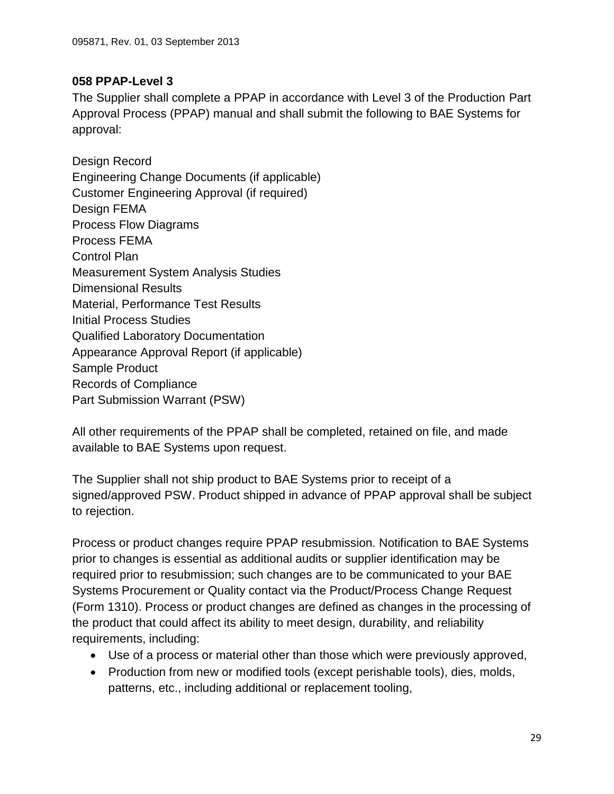### <span id="page-28-0"></span>**058 PPAP-Level 3**

The Supplier shall complete a PPAP in accordance with Level 3 of the Production Part Approval Process (PPAP) manual and shall submit the following to BAE Systems for approval:

Design Record Engineering Change Documents (if applicable) Customer Engineering Approval (if required) Design FEMA Process Flow Diagrams Process FEMA Control Plan Measurement System Analysis Studies Dimensional Results Material, Performance Test Results Initial Process Studies Qualified Laboratory Documentation Appearance Approval Report (if applicable) Sample Product Records of Compliance Part Submission Warrant (PSW)

All other requirements of the PPAP shall be completed, retained on file, and made available to BAE Systems upon request.

The Supplier shall not ship product to BAE Systems prior to receipt of a signed/approved PSW. Product shipped in advance of PPAP approval shall be subject to rejection.

Process or product changes require PPAP resubmission. Notification to BAE Systems prior to changes is essential as additional audits or supplier identification may be required prior to resubmission; such changes are to be communicated to your BAE Systems Procurement or Quality contact via the Product/Process Change Request (Form 1310). Process or product changes are defined as changes in the processing of the product that could affect its ability to meet design, durability, and reliability requirements, including:

- Use of a process or material other than those which were previously approved,
- Production from new or modified tools (except perishable tools), dies, molds, patterns, etc., including additional or replacement tooling,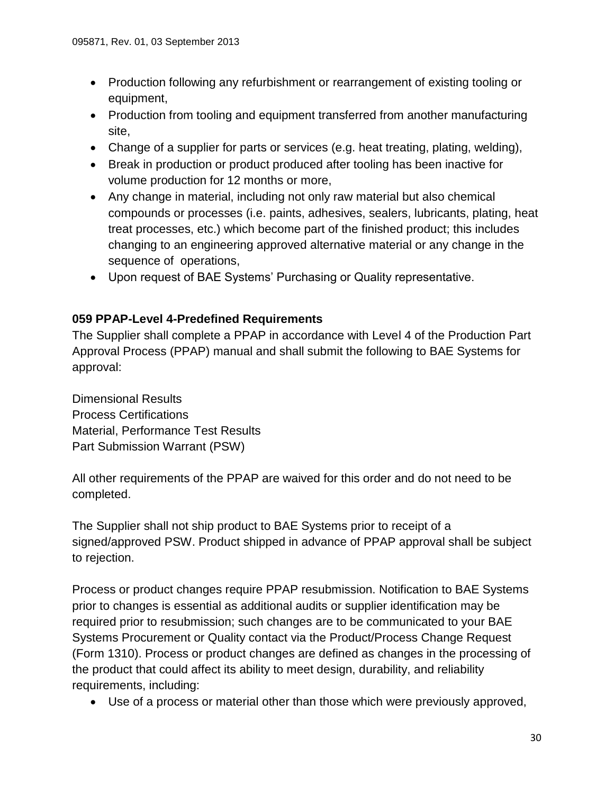- Production following any refurbishment or rearrangement of existing tooling or equipment,
- Production from tooling and equipment transferred from another manufacturing site,
- Change of a supplier for parts or services (e.g. heat treating, plating, welding),
- Break in production or product produced after tooling has been inactive for volume production for 12 months or more,
- Any change in material, including not only raw material but also chemical compounds or processes (i.e. paints, adhesives, sealers, lubricants, plating, heat treat processes, etc.) which become part of the finished product; this includes changing to an engineering approved alternative material or any change in the sequence of operations,
- Upon request of BAE Systems' Purchasing or Quality representative.

### <span id="page-29-0"></span>**059 PPAP-Level 4-Predefined Requirements**

The Supplier shall complete a PPAP in accordance with Level 4 of the Production Part Approval Process (PPAP) manual and shall submit the following to BAE Systems for approval:

Dimensional Results Process Certifications Material, Performance Test Results Part Submission Warrant (PSW)

All other requirements of the PPAP are waived for this order and do not need to be completed.

The Supplier shall not ship product to BAE Systems prior to receipt of a signed/approved PSW. Product shipped in advance of PPAP approval shall be subject to rejection.

Process or product changes require PPAP resubmission. Notification to BAE Systems prior to changes is essential as additional audits or supplier identification may be required prior to resubmission; such changes are to be communicated to your BAE Systems Procurement or Quality contact via the Product/Process Change Request (Form 1310). Process or product changes are defined as changes in the processing of the product that could affect its ability to meet design, durability, and reliability requirements, including:

Use of a process or material other than those which were previously approved,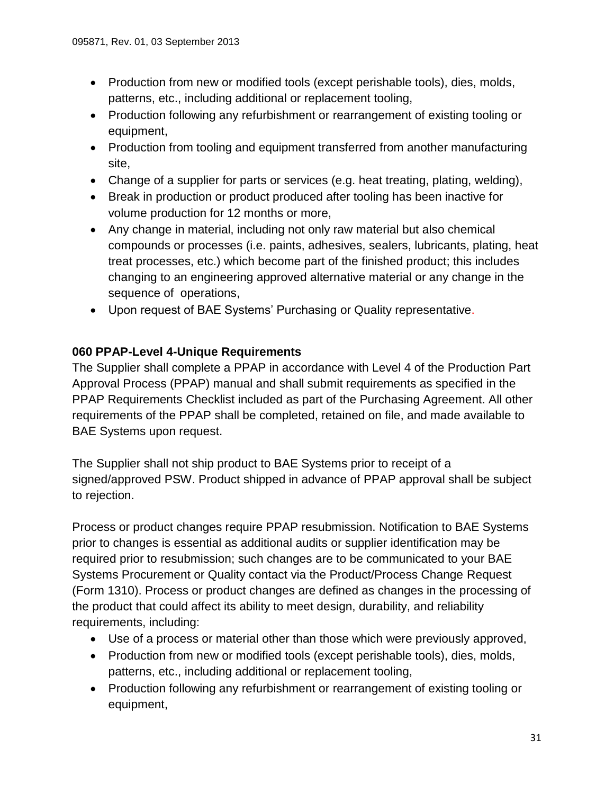- Production from new or modified tools (except perishable tools), dies, molds, patterns, etc., including additional or replacement tooling,
- Production following any refurbishment or rearrangement of existing tooling or equipment,
- Production from tooling and equipment transferred from another manufacturing site,
- Change of a supplier for parts or services (e.g. heat treating, plating, welding),
- Break in production or product produced after tooling has been inactive for volume production for 12 months or more,
- Any change in material, including not only raw material but also chemical compounds or processes (i.e. paints, adhesives, sealers, lubricants, plating, heat treat processes, etc.) which become part of the finished product; this includes changing to an engineering approved alternative material or any change in the sequence of operations,
- Upon request of BAE Systems' Purchasing or Quality representative.

### <span id="page-30-0"></span>**060 PPAP-Level 4-Unique Requirements**

The Supplier shall complete a PPAP in accordance with Level 4 of the Production Part Approval Process (PPAP) manual and shall submit requirements as specified in the PPAP Requirements Checklist included as part of the Purchasing Agreement. All other requirements of the PPAP shall be completed, retained on file, and made available to BAE Systems upon request.

The Supplier shall not ship product to BAE Systems prior to receipt of a signed/approved PSW. Product shipped in advance of PPAP approval shall be subject to rejection.

Process or product changes require PPAP resubmission. Notification to BAE Systems prior to changes is essential as additional audits or supplier identification may be required prior to resubmission; such changes are to be communicated to your BAE Systems Procurement or Quality contact via the Product/Process Change Request (Form 1310). Process or product changes are defined as changes in the processing of the product that could affect its ability to meet design, durability, and reliability requirements, including:

- Use of a process or material other than those which were previously approved,
- Production from new or modified tools (except perishable tools), dies, molds, patterns, etc., including additional or replacement tooling,
- Production following any refurbishment or rearrangement of existing tooling or equipment,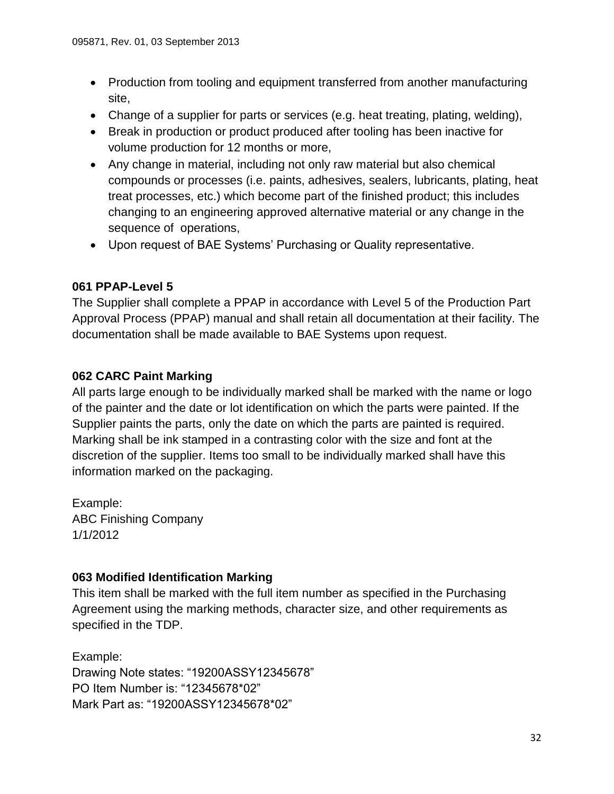- Production from tooling and equipment transferred from another manufacturing site,
- Change of a supplier for parts or services (e.g. heat treating, plating, welding),
- Break in production or product produced after tooling has been inactive for volume production for 12 months or more,
- Any change in material, including not only raw material but also chemical compounds or processes (i.e. paints, adhesives, sealers, lubricants, plating, heat treat processes, etc.) which become part of the finished product; this includes changing to an engineering approved alternative material or any change in the sequence of operations,
- Upon request of BAE Systems' Purchasing or Quality representative.

### <span id="page-31-0"></span>**061 PPAP-Level 5**

The Supplier shall complete a PPAP in accordance with Level 5 of the Production Part Approval Process (PPAP) manual and shall retain all documentation at their facility. The documentation shall be made available to BAE Systems upon request.

### <span id="page-31-1"></span>**062 CARC Paint Marking**

All parts large enough to be individually marked shall be marked with the name or logo of the painter and the date or lot identification on which the parts were painted. If the Supplier paints the parts, only the date on which the parts are painted is required. Marking shall be ink stamped in a contrasting color with the size and font at the discretion of the supplier. Items too small to be individually marked shall have this information marked on the packaging.

Example: ABC Finishing Company 1/1/2012

### <span id="page-31-2"></span>**063 Modified Identification Marking**

This item shall be marked with the full item number as specified in the Purchasing Agreement using the marking methods, character size, and other requirements as specified in the TDP.

Example: Drawing Note states: "19200ASSY12345678" PO Item Number is: "12345678\*02" Mark Part as: "19200ASSY12345678\*02"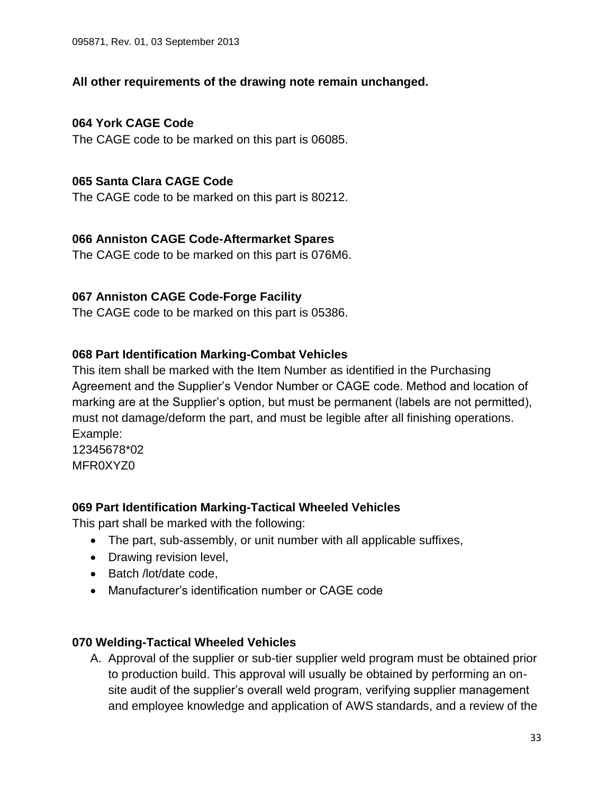### **All other requirements of the drawing note remain unchanged.**

### <span id="page-32-0"></span>**064 York CAGE Code**

The CAGE code to be marked on this part is 06085.

### <span id="page-32-1"></span>**065 Santa Clara CAGE Code**

The CAGE code to be marked on this part is 80212.

### <span id="page-32-2"></span>**066 Anniston CAGE Code-Aftermarket Spares**

The CAGE code to be marked on this part is 076M6.

### <span id="page-32-3"></span>**067 Anniston CAGE Code-Forge Facility**

The CAGE code to be marked on this part is 05386.

### <span id="page-32-4"></span>**068 Part Identification Marking-Combat Vehicles**

This item shall be marked with the Item Number as identified in the Purchasing Agreement and the Supplier's Vendor Number or CAGE code. Method and location of marking are at the Supplier's option, but must be permanent (labels are not permitted), must not damage/deform the part, and must be legible after all finishing operations. Example:

12345678\*02 MFR0XYZ0

### <span id="page-32-5"></span>**069 Part Identification Marking-Tactical Wheeled Vehicles**

This part shall be marked with the following:

- The part, sub-assembly, or unit number with all applicable suffixes,
- Drawing revision level,
- Batch /lot/date code,
- Manufacturer's identification number or CAGE code

### <span id="page-32-6"></span>**070 Welding-Tactical Wheeled Vehicles**

A. Approval of the supplier or sub-tier supplier weld program must be obtained prior to production build. This approval will usually be obtained by performing an onsite audit of the supplier's overall weld program, verifying supplier management and employee knowledge and application of AWS standards, and a review of the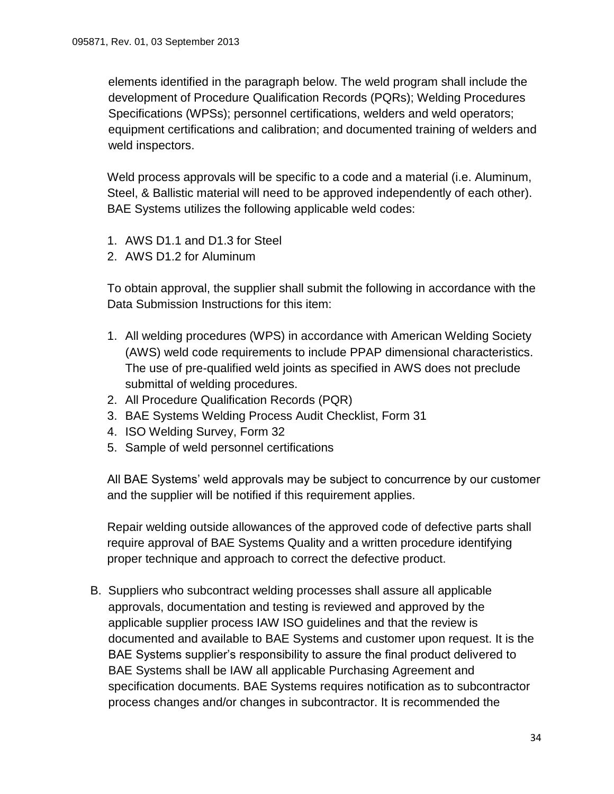elements identified in the paragraph below. The weld program shall include the development of Procedure Qualification Records (PQRs); Welding Procedures Specifications (WPSs); personnel certifications, welders and weld operators; equipment certifications and calibration; and documented training of welders and weld inspectors.

Weld process approvals will be specific to a code and a material (i.e. Aluminum, Steel, & Ballistic material will need to be approved independently of each other). BAE Systems utilizes the following applicable weld codes:

- 1. AWS D1.1 and D1.3 for Steel
- 2. AWS D1.2 for Aluminum

To obtain approval, the supplier shall submit the following in accordance with the Data Submission Instructions for this item:

- 1. All welding procedures (WPS) in accordance with American Welding Society (AWS) weld code requirements to include PPAP dimensional characteristics. The use of pre-qualified weld joints as specified in AWS does not preclude submittal of welding procedures.
- 2. All Procedure Qualification Records (PQR)
- 3. BAE Systems Welding Process Audit Checklist, Form 31
- 4. ISO Welding Survey, Form 32
- 5. Sample of weld personnel certifications

All BAE Systems' weld approvals may be subject to concurrence by our customer and the supplier will be notified if this requirement applies.

Repair welding outside allowances of the approved code of defective parts shall require approval of BAE Systems Quality and a written procedure identifying proper technique and approach to correct the defective product.

B. Suppliers who subcontract welding processes shall assure all applicable approvals, documentation and testing is reviewed and approved by the applicable supplier process IAW ISO guidelines and that the review is documented and available to BAE Systems and customer upon request. It is the BAE Systems supplier's responsibility to assure the final product delivered to BAE Systems shall be IAW all applicable Purchasing Agreement and specification documents. BAE Systems requires notification as to subcontractor process changes and/or changes in subcontractor. It is recommended the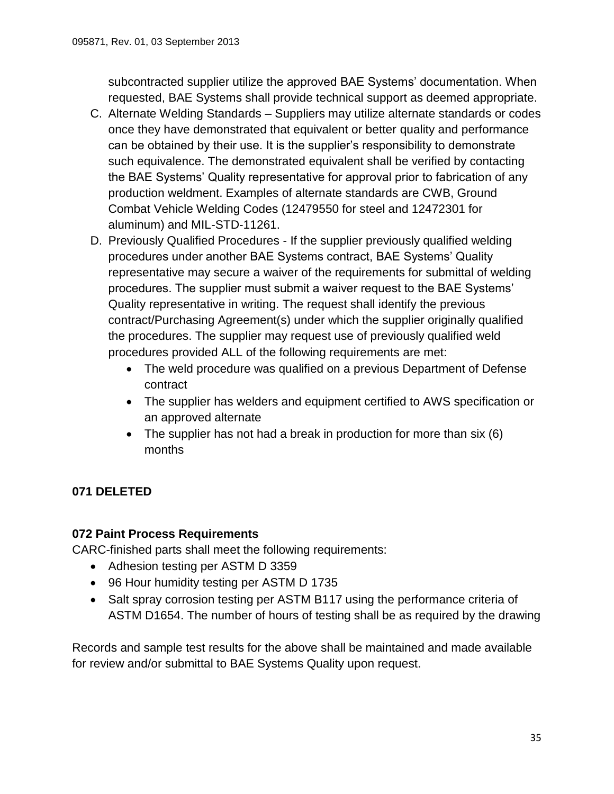subcontracted supplier utilize the approved BAE Systems' documentation. When requested, BAE Systems shall provide technical support as deemed appropriate.

- C. Alternate Welding Standards Suppliers may utilize alternate standards or codes once they have demonstrated that equivalent or better quality and performance can be obtained by their use. It is the supplier's responsibility to demonstrate such equivalence. The demonstrated equivalent shall be verified by contacting the BAE Systems' Quality representative for approval prior to fabrication of any production weldment. Examples of alternate standards are CWB, Ground Combat Vehicle Welding Codes (12479550 for steel and 12472301 for aluminum) and MIL-STD-11261.
- D. Previously Qualified Procedures If the supplier previously qualified welding procedures under another BAE Systems contract, BAE Systems' Quality representative may secure a waiver of the requirements for submittal of welding procedures. The supplier must submit a waiver request to the BAE Systems' Quality representative in writing. The request shall identify the previous contract/Purchasing Agreement(s) under which the supplier originally qualified the procedures. The supplier may request use of previously qualified weld procedures provided ALL of the following requirements are met:
	- The weld procedure was qualified on a previous Department of Defense contract
	- The supplier has welders and equipment certified to AWS specification or an approved alternate
	- The supplier has not had a break in production for more than six (6) months

# <span id="page-34-1"></span><span id="page-34-0"></span>**071 DELETED**

### **072 Paint Process Requirements**

CARC-finished parts shall meet the following requirements:

- Adhesion testing per ASTM D 3359
- 96 Hour humidity testing per ASTM D 1735
- Salt spray corrosion testing per ASTM B117 using the performance criteria of ASTM D1654. The number of hours of testing shall be as required by the drawing

Records and sample test results for the above shall be maintained and made available for review and/or submittal to BAE Systems Quality upon request.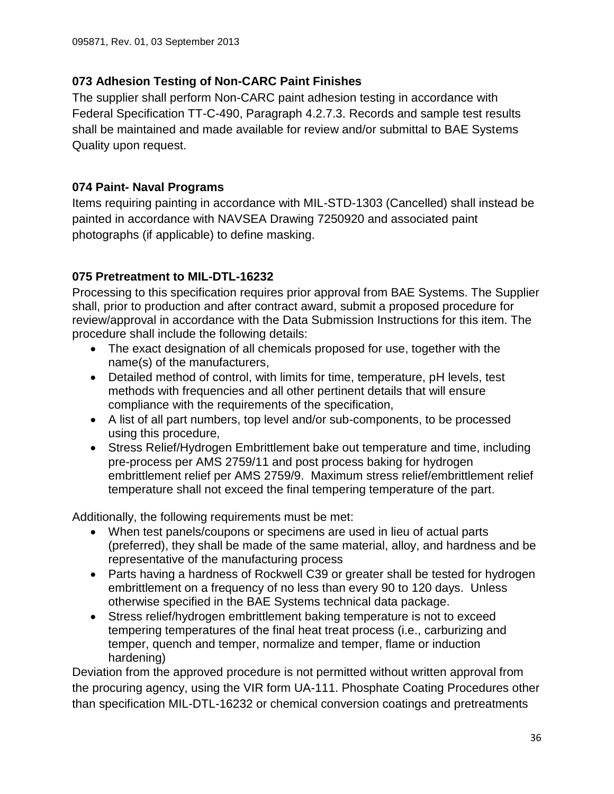### <span id="page-35-0"></span>**073 Adhesion Testing of Non-CARC Paint Finishes**

The supplier shall perform Non-CARC paint adhesion testing in accordance with Federal Specification TT-C-490, Paragraph 4.2.7.3. Records and sample test results shall be maintained and made available for review and/or submittal to BAE Systems Quality upon request.

### <span id="page-35-1"></span>**074 Paint- Naval Programs**

Items requiring painting in accordance with MIL-STD-1303 (Cancelled) shall instead be painted in accordance with NAVSEA Drawing 7250920 and associated paint photographs (if applicable) to define masking.

# <span id="page-35-2"></span>**075 Pretreatment to MIL-DTL-16232**

Processing to this specification requires prior approval from BAE Systems. The Supplier shall, prior to production and after contract award, submit a proposed procedure for review/approval in accordance with the Data Submission Instructions for this item. The procedure shall include the following details:

- The exact designation of all chemicals proposed for use, together with the name(s) of the manufacturers,
- Detailed method of control, with limits for time, temperature, pH levels, test methods with frequencies and all other pertinent details that will ensure compliance with the requirements of the specification,
- A list of all part numbers, top level and/or sub-components, to be processed using this procedure,
- Stress Relief/Hydrogen Embrittlement bake out temperature and time, including pre-process per AMS 2759/11 and post process baking for hydrogen embrittlement relief per AMS 2759/9. Maximum stress relief/embrittlement relief temperature shall not exceed the final tempering temperature of the part.

Additionally, the following requirements must be met:

- When test panels/coupons or specimens are used in lieu of actual parts (preferred), they shall be made of the same material, alloy, and hardness and be representative of the manufacturing process
- Parts having a hardness of Rockwell C39 or greater shall be tested for hydrogen embrittlement on a frequency of no less than every 90 to 120 days. Unless otherwise specified in the BAE Systems technical data package.
- Stress relief/hydrogen embrittlement baking temperature is not to exceed tempering temperatures of the final heat treat process (i.e., carburizing and temper, quench and temper, normalize and temper, flame or induction hardening)

Deviation from the approved procedure is not permitted without written approval from the procuring agency, using the VIR form UA-111. Phosphate Coating Procedures other than specification MIL-DTL-16232 or chemical conversion coatings and pretreatments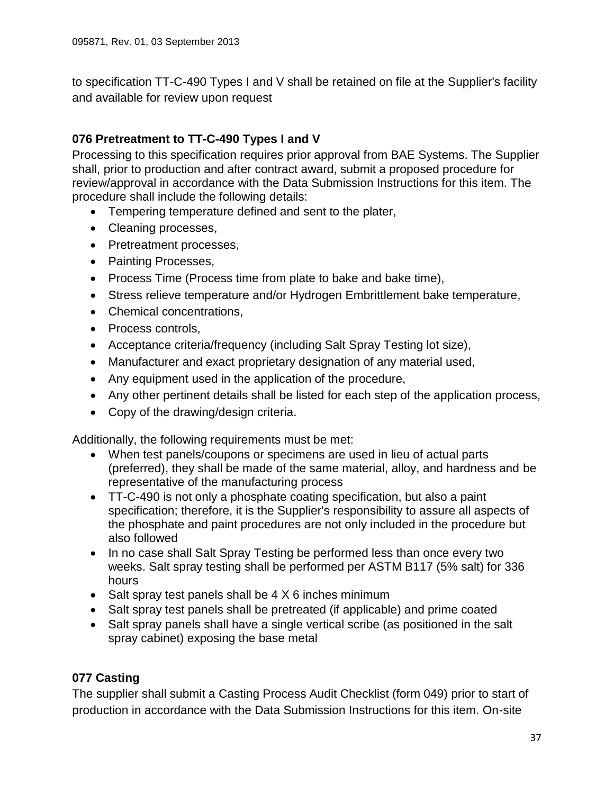to specification TT-C-490 Types I and V shall be retained on file at the Supplier's facility and available for review upon request

# <span id="page-36-0"></span>**076 Pretreatment to TT-C-490 Types I and V**

Processing to this specification requires prior approval from BAE Systems. The Supplier shall, prior to production and after contract award, submit a proposed procedure for review/approval in accordance with the Data Submission Instructions for this item. The procedure shall include the following details:

- Tempering temperature defined and sent to the plater,
- Cleaning processes,
- Pretreatment processes,
- Painting Processes,
- Process Time (Process time from plate to bake and bake time),
- Stress relieve temperature and/or Hydrogen Embrittlement bake temperature,
- Chemical concentrations,
- Process controls,
- Acceptance criteria/frequency (including Salt Spray Testing lot size),
- Manufacturer and exact proprietary designation of any material used,
- Any equipment used in the application of the procedure,
- Any other pertinent details shall be listed for each step of the application process,
- Copy of the drawing/design criteria.

Additionally, the following requirements must be met:

- When test panels/coupons or specimens are used in lieu of actual parts (preferred), they shall be made of the same material, alloy, and hardness and be representative of the manufacturing process
- TT-C-490 is not only a phosphate coating specification, but also a paint specification; therefore, it is the Supplier's responsibility to assure all aspects of the phosphate and paint procedures are not only included in the procedure but also followed
- In no case shall Salt Spray Testing be performed less than once every two weeks. Salt spray testing shall be performed per ASTM B117 (5% salt) for 336 hours
- Salt spray test panels shall be  $4 \times 6$  inches minimum
- Salt spray test panels shall be pretreated (if applicable) and prime coated
- Salt spray panels shall have a single vertical scribe (as positioned in the salt spray cabinet) exposing the base metal

### <span id="page-36-1"></span>**077 Casting**

The supplier shall submit a Casting Process Audit Checklist (form 049) prior to start of production in accordance with the Data Submission Instructions for this item. On-site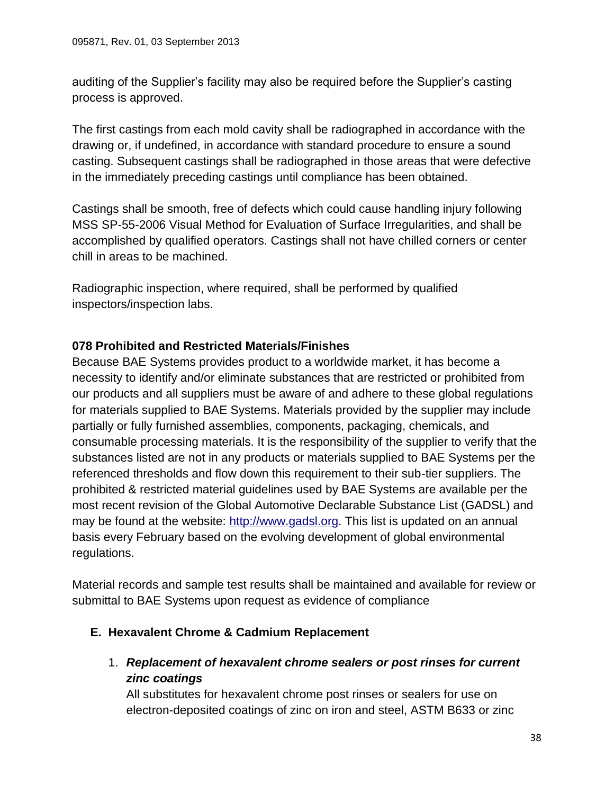auditing of the Supplier's facility may also be required before the Supplier's casting process is approved.

The first castings from each mold cavity shall be radiographed in accordance with the drawing or, if undefined, in accordance with standard procedure to ensure a sound casting. Subsequent castings shall be radiographed in those areas that were defective in the immediately preceding castings until compliance has been obtained.

Castings shall be smooth, free of defects which could cause handling injury following MSS SP-55-2006 Visual Method for Evaluation of Surface Irregularities, and shall be accomplished by qualified operators. Castings shall not have chilled corners or center chill in areas to be machined.

Radiographic inspection, where required, shall be performed by qualified inspectors/inspection labs.

### <span id="page-37-0"></span>**078 Prohibited and Restricted Materials/Finishes**

Because BAE Systems provides product to a worldwide market, it has become a necessity to identify and/or eliminate substances that are restricted or prohibited from our products and all suppliers must be aware of and adhere to these global regulations for materials supplied to BAE Systems. Materials provided by the supplier may include partially or fully furnished assemblies, components, packaging, chemicals, and consumable processing materials. It is the responsibility of the supplier to verify that the substances listed are not in any products or materials supplied to BAE Systems per the referenced thresholds and flow down this requirement to their sub-tier suppliers. The prohibited & restricted material guidelines used by BAE Systems are available per the most recent revision of the Global Automotive Declarable Substance List (GADSL) and may be found at the website: [http://www.gadsl.org.](http://www.gadsl.org/) This list is updated on an annual basis every February based on the evolving development of global environmental regulations.

Material records and sample test results shall be maintained and available for review or submittal to BAE Systems upon request as evidence of compliance

#### <span id="page-37-1"></span>**E. Hexavalent Chrome & Cadmium Replacement**

1. *Replacement of hexavalent chrome sealers or post rinses for current zinc coatings*

All substitutes for hexavalent chrome post rinses or sealers for use on electron-deposited coatings of zinc on iron and steel, ASTM B633 or zinc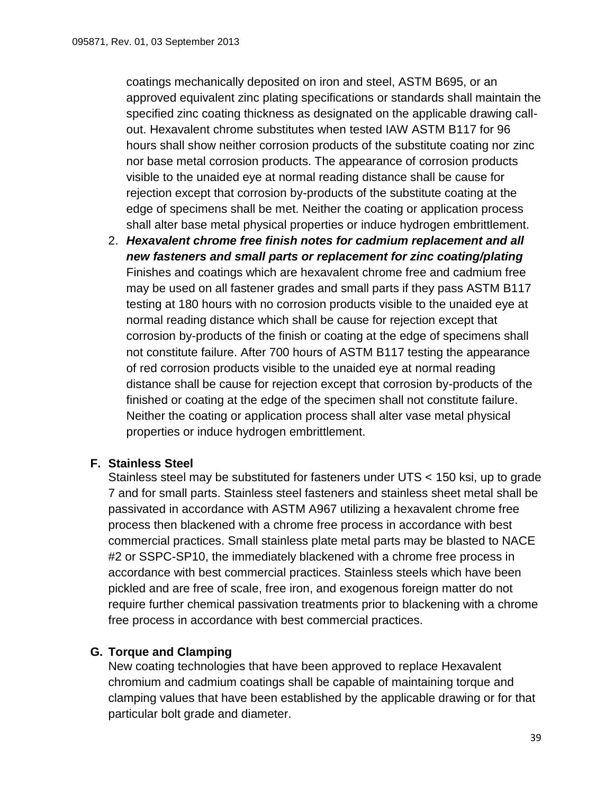coatings mechanically deposited on iron and steel, ASTM B695, or an approved equivalent zinc plating specifications or standards shall maintain the specified zinc coating thickness as designated on the applicable drawing callout. Hexavalent chrome substitutes when tested IAW ASTM B117 for 96 hours shall show neither corrosion products of the substitute coating nor zinc nor base metal corrosion products. The appearance of corrosion products visible to the unaided eye at normal reading distance shall be cause for rejection except that corrosion by-products of the substitute coating at the edge of specimens shall be met. Neither the coating or application process shall alter base metal physical properties or induce hydrogen embrittlement.

2. *Hexavalent chrome free finish notes for cadmium replacement and all new fasteners and small parts or replacement for zinc coating/plating* Finishes and coatings which are hexavalent chrome free and cadmium free may be used on all fastener grades and small parts if they pass ASTM B117 testing at 180 hours with no corrosion products visible to the unaided eye at normal reading distance which shall be cause for rejection except that corrosion by-products of the finish or coating at the edge of specimens shall not constitute failure. After 700 hours of ASTM B117 testing the appearance of red corrosion products visible to the unaided eye at normal reading distance shall be cause for rejection except that corrosion by-products of the finished or coating at the edge of the specimen shall not constitute failure. Neither the coating or application process shall alter vase metal physical properties or induce hydrogen embrittlement.

### <span id="page-38-0"></span>**F. Stainless Steel**

Stainless steel may be substituted for fasteners under UTS < 150 ksi, up to grade 7 and for small parts. Stainless steel fasteners and stainless sheet metal shall be passivated in accordance with ASTM A967 utilizing a hexavalent chrome free process then blackened with a chrome free process in accordance with best commercial practices. Small stainless plate metal parts may be blasted to NACE #2 or SSPC-SP10, the immediately blackened with a chrome free process in accordance with best commercial practices. Stainless steels which have been pickled and are free of scale, free iron, and exogenous foreign matter do not require further chemical passivation treatments prior to blackening with a chrome free process in accordance with best commercial practices.

### <span id="page-38-1"></span>**G. Torque and Clamping**

New coating technologies that have been approved to replace Hexavalent chromium and cadmium coatings shall be capable of maintaining torque and clamping values that have been established by the applicable drawing or for that particular bolt grade and diameter.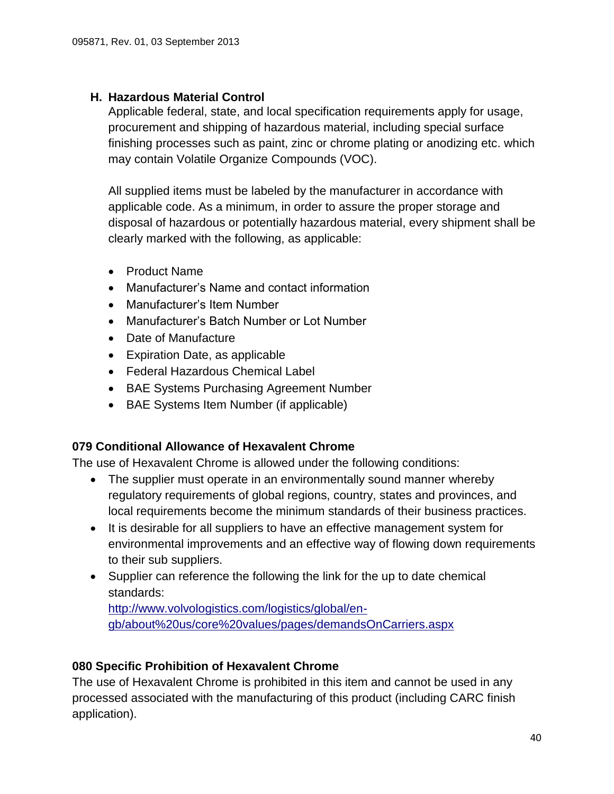### <span id="page-39-0"></span>**H. Hazardous Material Control**

Applicable federal, state, and local specification requirements apply for usage, procurement and shipping of hazardous material, including special surface finishing processes such as paint, zinc or chrome plating or anodizing etc. which may contain Volatile Organize Compounds (VOC).

All supplied items must be labeled by the manufacturer in accordance with applicable code. As a minimum, in order to assure the proper storage and disposal of hazardous or potentially hazardous material, every shipment shall be clearly marked with the following, as applicable:

- Product Name
- Manufacturer's Name and contact information
- Manufacturer's Item Number
- Manufacturer's Batch Number or Lot Number
- Date of Manufacture
- Expiration Date, as applicable
- Federal Hazardous Chemical Label
- BAE Systems Purchasing Agreement Number
- BAE Systems Item Number (if applicable)

#### <span id="page-39-1"></span>**079 Conditional Allowance of Hexavalent Chrome**

The use of Hexavalent Chrome is allowed under the following conditions:

- The supplier must operate in an environmentally sound manner whereby regulatory requirements of global regions, country, states and provinces, and local requirements become the minimum standards of their business practices.
- It is desirable for all suppliers to have an effective management system for environmental improvements and an effective way of flowing down requirements to their sub suppliers.
- Supplier can reference the following the link for the up to date chemical standards:

[http://www.volvologistics.com/logistics/global/en](http://www.volvologistics.com/logistics/global/en-gb/about%20us/core%20values/pages/demandsOnCarriers.aspx)[gb/about%20us/core%20values/pages/demandsOnCarriers.aspx](http://www.volvologistics.com/logistics/global/en-gb/about%20us/core%20values/pages/demandsOnCarriers.aspx)

### <span id="page-39-2"></span>**080 Specific Prohibition of Hexavalent Chrome**

The use of Hexavalent Chrome is prohibited in this item and cannot be used in any processed associated with the manufacturing of this product (including CARC finish application).